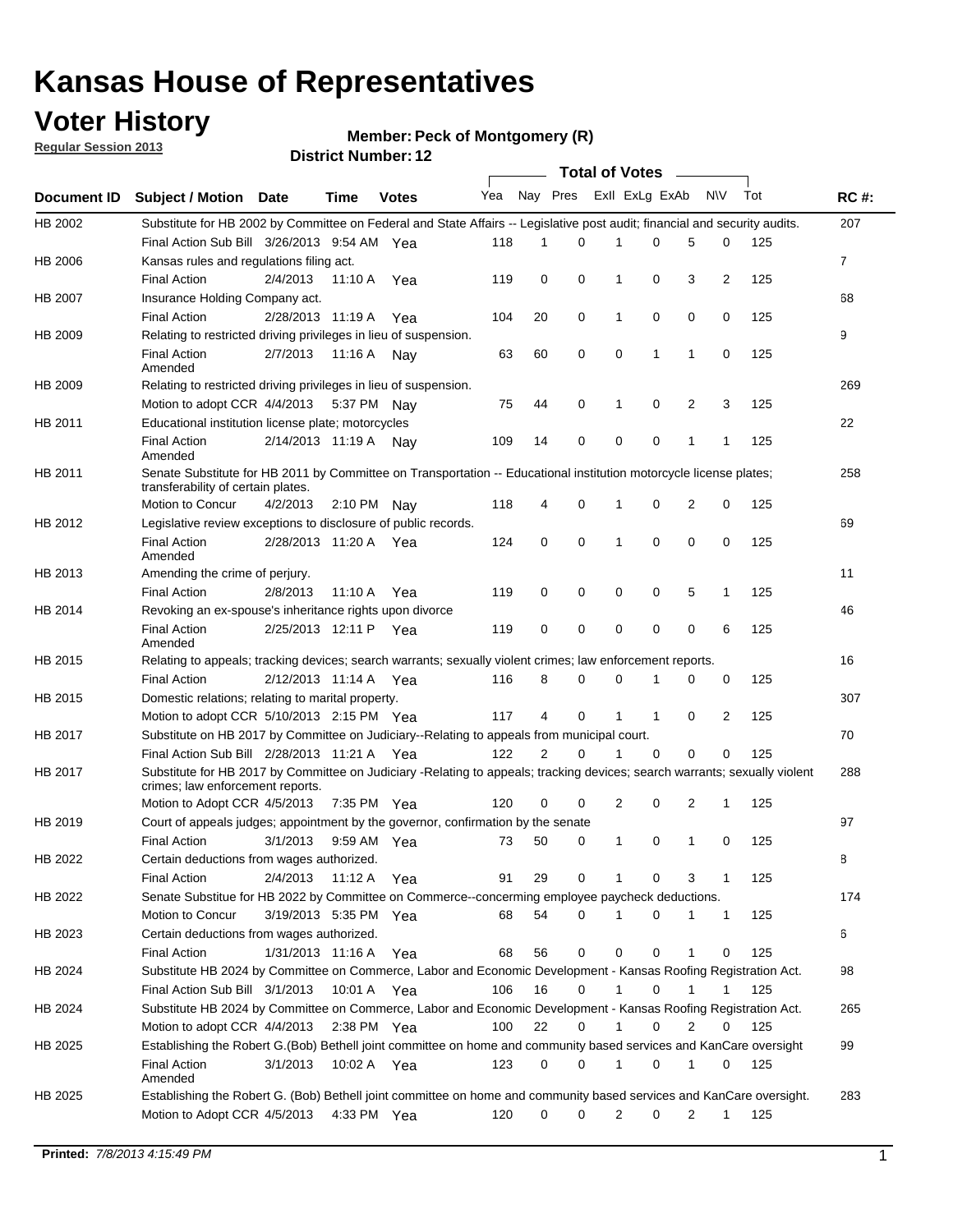## **Voter History**

**Member: Peck of Montgomery (R)** 

**Regular Session 2013**

|             |                                                                                                                                                                |                       |             | <b>DISTRICT NUMBER: 12</b> |     |          |             | Total of Votes – |             |              |                |     |                |
|-------------|----------------------------------------------------------------------------------------------------------------------------------------------------------------|-----------------------|-------------|----------------------------|-----|----------|-------------|------------------|-------------|--------------|----------------|-----|----------------|
| Document ID | <b>Subject / Motion</b>                                                                                                                                        | Date                  | Time        | <b>Votes</b>               | Yea | Nay Pres |             | Exll ExLg ExAb   |             |              | N\V            | Tot | <b>RC#:</b>    |
| HB 2002     | Substitute for HB 2002 by Committee on Federal and State Affairs -- Legislative post audit; financial and security audits.                                     |                       |             |                            |     |          |             |                  |             |              |                |     | 207            |
|             | Final Action Sub Bill 3/26/2013 9:54 AM Yea                                                                                                                    |                       |             |                            | 118 | 1        | 0           |                  | 0           | 5            | 0              | 125 |                |
| HB 2006     | Kansas rules and regulations filing act.                                                                                                                       |                       |             |                            |     |          |             |                  |             |              |                |     | $\overline{7}$ |
|             | <b>Final Action</b>                                                                                                                                            | 2/4/2013              | 11:10 A     | Yea                        | 119 | 0        | 0           | 1                | 0           | 3            | $\overline{2}$ | 125 |                |
| HB 2007     | Insurance Holding Company act.                                                                                                                                 |                       |             |                            |     |          |             |                  |             |              |                |     | 68             |
|             | <b>Final Action</b>                                                                                                                                            | 2/28/2013 11:19 A     |             | Yea                        | 104 | 20       | 0           | 1                | 0           | 0            | 0              | 125 |                |
| HB 2009     | Relating to restricted driving privileges in lieu of suspension.                                                                                               |                       |             |                            |     |          |             |                  |             |              |                |     | 9              |
|             | <b>Final Action</b><br>Amended                                                                                                                                 | 2/7/2013              | 11:16 A     | Nay                        | 63  | 60       | 0           | 0                | 1           | 1            | 0              | 125 |                |
| HB 2009     | Relating to restricted driving privileges in lieu of suspension.                                                                                               |                       |             |                            |     |          |             |                  |             |              |                |     | 269            |
|             | Motion to adopt CCR 4/4/2013                                                                                                                                   |                       | 5:37 PM     | Nav                        | 75  | 44       | 0           | 1                | 0           | 2            | 3              | 125 |                |
| HB 2011     | Educational institution license plate; motorcycles                                                                                                             |                       |             |                            |     |          |             |                  |             |              |                |     | 22             |
|             | <b>Final Action</b><br>Amended                                                                                                                                 | 2/14/2013 11:19 A     |             | Nav                        | 109 | 14       | 0           | 0                | 0           | 1            | 1              | 125 |                |
| HB 2011     | Senate Substitute for HB 2011 by Committee on Transportation -- Educational institution motorcycle license plates;<br>transferability of certain plates.       |                       |             |                            |     |          |             |                  |             |              |                |     | 258            |
|             | Motion to Concur                                                                                                                                               | 4/2/2013              | 2:10 PM     | Nav                        | 118 | 4        | 0           | 1                | 0           | 2            | 0              | 125 |                |
| HB 2012     | Legislative review exceptions to disclosure of public records.                                                                                                 |                       |             |                            |     |          |             |                  |             |              |                |     | 69             |
|             | <b>Final Action</b><br>Amended                                                                                                                                 | 2/28/2013 11:20 A     |             | Yea                        | 124 | 0        | 0           | 1                | 0           | 0            | 0              | 125 |                |
| HB 2013     | Amending the crime of perjury.                                                                                                                                 |                       |             |                            |     |          |             |                  |             |              |                |     | 11             |
|             | <b>Final Action</b>                                                                                                                                            | 2/8/2013              | 11:10 A     | Yea                        | 119 | 0        | 0           | 0                | 0           | 5            | 1              | 125 |                |
| HB 2014     | Revoking an ex-spouse's inheritance rights upon divorce                                                                                                        |                       |             |                            |     |          |             |                  |             |              |                |     | 46             |
|             | <b>Final Action</b><br>Amended                                                                                                                                 | 2/25/2013 12:11 P     |             | Yea                        | 119 | 0        | $\mathbf 0$ | 0                | 0           | 0            | 6              | 125 |                |
| HB 2015     | Relating to appeals; tracking devices; search warrants; sexually violent crimes; law enforcement reports.                                                      |                       |             |                            |     |          |             |                  |             |              |                |     | 16             |
|             | <b>Final Action</b>                                                                                                                                            | 2/12/2013 11:14 A     |             | Yea                        | 116 | 8        | 0           | 0                | 1           | 0            | 0              | 125 |                |
| HB 2015     | Domestic relations; relating to marital property.                                                                                                              |                       |             |                            |     |          |             |                  |             |              |                |     | 307            |
|             | Motion to adopt CCR 5/10/2013 2:15 PM Yea                                                                                                                      |                       |             |                            | 117 | 4        | 0           | $\mathbf 1$      | $\mathbf 1$ | 0            | 2              | 125 |                |
| HB 2017     | Substitute on HB 2017 by Committee on Judiciary--Relating to appeals from municipal court.                                                                     |                       |             |                            |     |          |             |                  |             |              |                |     | 70             |
|             | Final Action Sub Bill 2/28/2013 11:21 A Yea                                                                                                                    |                       |             |                            | 122 | 2        | $\Omega$    | 1                | 0           | 0            | 0              | 125 |                |
| HB 2017     | Substitute for HB 2017 by Committee on Judiciary -Relating to appeals; tracking devices; search warrants; sexually violent<br>crimes; law enforcement reports. |                       |             |                            |     |          |             |                  |             |              |                |     | 288            |
|             | Motion to Adopt CCR 4/5/2013                                                                                                                                   |                       | 7:35 PM Yea |                            | 120 | 0        | 0           | 2                | 0           | 2            | 1              | 125 |                |
| HB 2019     | Court of appeals judges; appointment by the governor, confirmation by the senate                                                                               |                       |             |                            |     |          |             |                  |             |              |                |     | 97             |
|             | <b>Final Action</b>                                                                                                                                            | 3/1/2013              | 9:59 AM Yea |                            | 73  | 50       | 0           | 1                | 0           | $\mathbf{1}$ | 0              | 125 |                |
| HB 2022     | Certain deductions from wages authorized.                                                                                                                      |                       |             |                            |     |          |             |                  |             |              |                |     | В              |
|             | <b>Final Action</b>                                                                                                                                            | 2/4/2013              | 11:12 A     | Yea                        | 91  | 29       | 0           | 1                | 0           | 3            | 1              | 125 |                |
| HB 2022     | Senate Substitue for HB 2022 by Committee on Commerce--concerming employee paycheck deductions.                                                                |                       |             |                            |     |          |             |                  |             |              |                |     | 174            |
|             | Motion to Concur                                                                                                                                               | 3/19/2013 5:35 PM Yea |             |                            | 68  | 54       | 0           | 1                | 0           | 1            | $\mathbf{1}$   | 125 |                |
| HB 2023     | Certain deductions from wages authorized.                                                                                                                      |                       |             |                            |     |          |             |                  |             |              |                |     | 6              |
|             | Final Action                                                                                                                                                   | 1/31/2013 11:16 A     |             | Yea                        | 68  | 56       | 0           | 0                | 0           | 1            | 0              | 125 |                |
| HB 2024     | Substitute HB 2024 by Committee on Commerce, Labor and Economic Development - Kansas Roofing Registration Act.                                                 |                       |             |                            |     |          |             |                  |             |              |                |     | 98             |
|             | Final Action Sub Bill 3/1/2013                                                                                                                                 |                       | 10:01 A     | Yea                        | 106 | 16       | 0           | 1                | 0           | 1            | 1              | 125 |                |
| HB 2024     | Substitute HB 2024 by Committee on Commerce, Labor and Economic Development - Kansas Roofing Registration Act.                                                 |                       |             |                            |     |          |             |                  |             |              |                |     | 265            |
|             | Motion to adopt CCR 4/4/2013                                                                                                                                   |                       |             | 2:38 PM $Yea$              | 100 | 22       | 0           | 1                | 0           | 2            | 0              | 125 |                |
| HB 2025     | Establishing the Robert G.(Bob) Bethell joint committee on home and community based services and KanCare oversight                                             |                       |             |                            |     |          |             |                  |             |              |                |     | 99             |
|             | Final Action<br>Amended                                                                                                                                        | 3/1/2013              |             | 10:02 A Yea                | 123 | 0        | 0           | 1                | 0           | 1            | 0              | 125 |                |
| HB 2025     | Establishing the Robert G. (Bob) Bethell joint committee on home and community based services and KanCare oversight.<br>Motion to Adopt CCR 4/5/2013           |                       |             | 4:33 PM Yea                | 120 | 0        | 0           | $\overline{2}$   | 0           | 2            | $\mathbf{1}$   | 125 | 283            |
|             |                                                                                                                                                                |                       |             |                            |     |          |             |                  |             |              |                |     |                |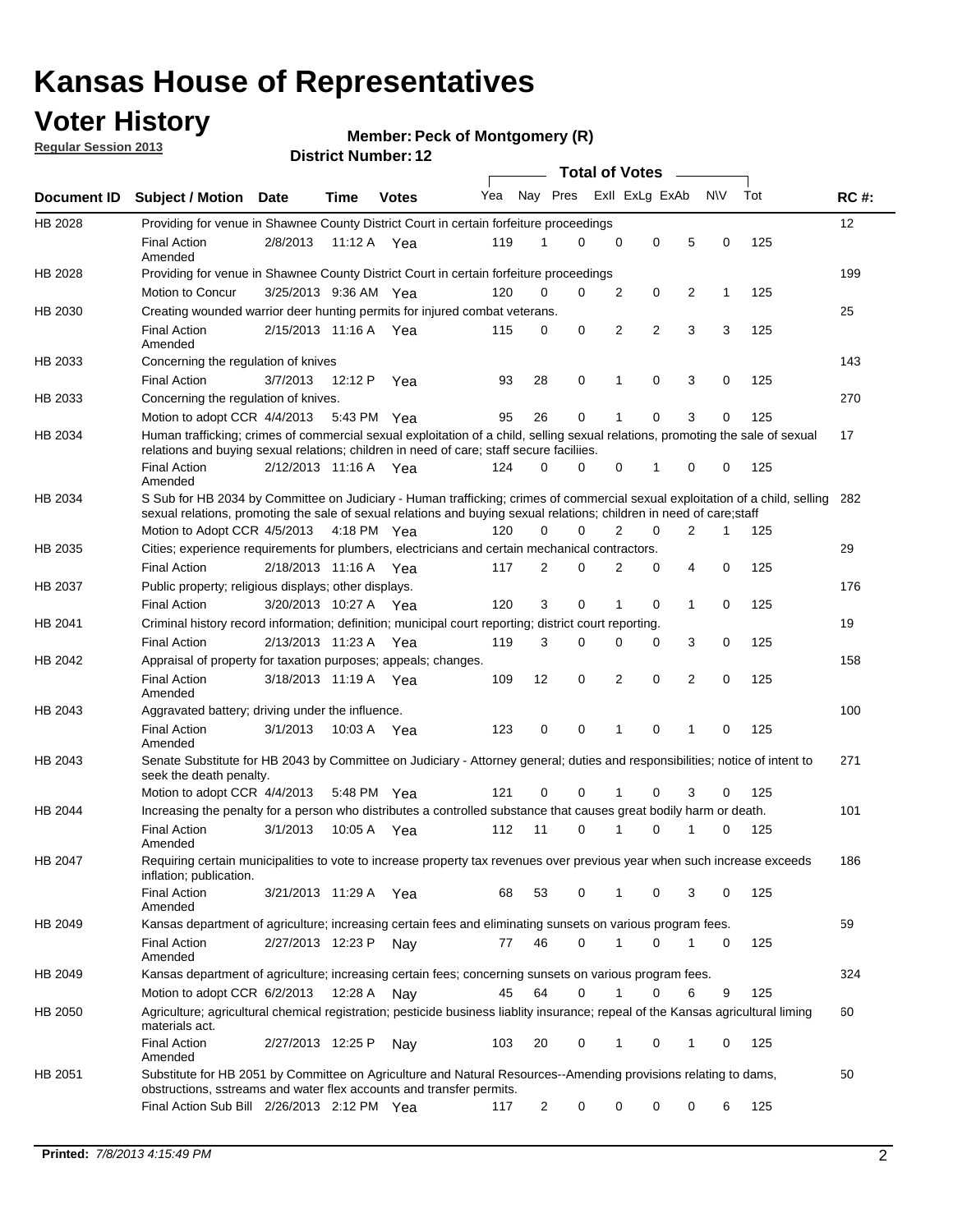## **Voter History**

**Member: Peck of Montgomery (R)** 

**Regular Session 2013**

|             |                                                                                                                                                                                                                                                        |                       |             | ו הסעוווטנו ועווווטכו |     |                | <b>Total of Votes</b>   |                |             |                |              |     |     |
|-------------|--------------------------------------------------------------------------------------------------------------------------------------------------------------------------------------------------------------------------------------------------------|-----------------------|-------------|-----------------------|-----|----------------|-------------------------|----------------|-------------|----------------|--------------|-----|-----|
| Document ID | <b>Subject / Motion Date</b>                                                                                                                                                                                                                           |                       | Time        | <b>Votes</b>          | Yea |                | Nay Pres Exll ExLg ExAb |                |             |                | <b>NV</b>    | Tot | RC# |
| HB 2028     | Providing for venue in Shawnee County District Court in certain forfeiture proceedings                                                                                                                                                                 |                       |             |                       |     |                |                         |                |             |                |              |     | 12  |
|             | <b>Final Action</b><br>Amended                                                                                                                                                                                                                         | 2/8/2013              | 11:12 A Yea |                       | 119 | 1              | $\Omega$                | 0              | 0           | 5              | 0            | 125 |     |
| HB 2028     | Providing for venue in Shawnee County District Court in certain forfeiture proceedings                                                                                                                                                                 |                       |             |                       |     |                |                         |                |             |                |              |     | 199 |
|             | Motion to Concur                                                                                                                                                                                                                                       | 3/25/2013 9:36 AM Yea |             |                       | 120 | 0              | 0                       | 2              | 0           | 2              | $\mathbf{1}$ | 125 |     |
| HB 2030     | Creating wounded warrior deer hunting permits for injured combat veterans.                                                                                                                                                                             |                       |             |                       |     |                |                         |                |             |                |              |     | 25  |
|             | <b>Final Action</b><br>Amended                                                                                                                                                                                                                         | 2/15/2013 11:16 A     |             | Yea                   | 115 | 0              | 0                       | 2              | 2           | 3              | 3            | 125 |     |
| HB 2033     | Concerning the regulation of knives                                                                                                                                                                                                                    |                       |             |                       |     |                |                         |                |             |                |              |     | 143 |
|             | <b>Final Action</b>                                                                                                                                                                                                                                    | 3/7/2013              | 12:12 P     | Yea                   | 93  | 28             | 0                       | 1              | 0           | 3              | 0            | 125 |     |
| HB 2033     | Concerning the regulation of knives.                                                                                                                                                                                                                   |                       |             |                       |     |                |                         |                |             |                |              |     | 270 |
|             | Motion to adopt CCR 4/4/2013 5:43 PM Yea                                                                                                                                                                                                               |                       |             |                       | 95  | 26             | 0                       | 1              | 0           | 3              | 0            | 125 |     |
| HB 2034     | Human trafficking; crimes of commercial sexual exploitation of a child, selling sexual relations, promoting the sale of sexual<br>relations and buying sexual relations; children in need of care; staff secure faciliies.                             |                       |             |                       |     |                |                         |                |             |                |              |     | 17  |
|             | <b>Final Action</b><br>Amended                                                                                                                                                                                                                         | 2/12/2013 11:16 A Yea |             |                       | 124 | 0              | $\Omega$                | 0              | 1           | $\Omega$       | 0            | 125 |     |
| HB 2034     | S Sub for HB 2034 by Committee on Judiciary - Human trafficking; crimes of commercial sexual exploitation of a child, selling<br>sexual relations, promoting the sale of sexual relations and buying sexual relations; children in need of care; staff |                       |             |                       |     |                |                         |                |             |                |              |     | 282 |
|             | Motion to Adopt CCR 4/5/2013 4:18 PM Yea                                                                                                                                                                                                               |                       |             |                       | 120 | $\Omega$       | $\Omega$                | $\overline{2}$ | $\mathbf 0$ | $\overline{2}$ | 1            | 125 |     |
| HB 2035     | Cities; experience requirements for plumbers, electricians and certain mechanical contractors.                                                                                                                                                         |                       |             |                       |     |                |                         |                |             |                |              |     | 29  |
|             | <b>Final Action</b>                                                                                                                                                                                                                                    | 2/18/2013 11:16 A     |             | Yea                   | 117 | $\overline{2}$ | $\Omega$                | 2              | 0           | 4              | 0            | 125 |     |
| HB 2037     | Public property; religious displays; other displays.                                                                                                                                                                                                   |                       |             |                       |     |                |                         |                |             |                |              |     | 176 |
|             | <b>Final Action</b>                                                                                                                                                                                                                                    | 3/20/2013 10:27 A Yea |             |                       | 120 | 3              | 0                       | 1              | 0           | $\mathbf{1}$   | 0            | 125 |     |
| HB 2041     | Criminal history record information; definition; municipal court reporting; district court reporting.                                                                                                                                                  |                       |             |                       |     |                |                         |                |             |                |              |     | 19  |
|             | <b>Final Action</b>                                                                                                                                                                                                                                    | 2/13/2013 11:23 A     |             | Yea                   | 119 | 3              | 0                       | 0              | 0           | 3              | 0            | 125 |     |
| HB 2042     | Appraisal of property for taxation purposes; appeals; changes.                                                                                                                                                                                         |                       |             |                       |     |                |                         |                |             |                |              |     | 158 |
|             | <b>Final Action</b><br>Amended                                                                                                                                                                                                                         | 3/18/2013 11:19 A     |             | Yea                   | 109 | 12             | 0                       | 2              | 0           | $\overline{2}$ | 0            | 125 |     |
| HB 2043     | Aggravated battery; driving under the influence.                                                                                                                                                                                                       |                       |             |                       |     |                |                         |                |             |                |              |     | 100 |
|             | <b>Final Action</b><br>Amended                                                                                                                                                                                                                         | 3/1/2013              | 10:03 A Yea |                       | 123 | 0              | 0                       | 1              | 0           | 1              | 0            | 125 |     |
| HB 2043     | Senate Substitute for HB 2043 by Committee on Judiciary - Attorney general; duties and responsibilities; notice of intent to<br>seek the death penalty.                                                                                                |                       |             |                       |     |                |                         |                |             |                |              |     | 271 |
|             | Motion to adopt CCR 4/4/2013                                                                                                                                                                                                                           |                       | 5:48 PM     | Yea                   | 121 | 0              | $\Omega$                |                | 0           | 3              | 0            | 125 |     |
| HB 2044     | Increasing the penalty for a person who distributes a controlled substance that causes great bodily harm or death.                                                                                                                                     |                       |             |                       |     |                |                         |                |             |                |              |     | 101 |
|             | <b>Final Action</b><br>Amended                                                                                                                                                                                                                         | 3/1/2013              | 10:05 A     | Yea                   | 112 | 11             | $\Omega$                |                | 0           |                | 0            | 125 |     |
| HB 2047     | Requiring certain municipalities to vote to increase property tax revenues over previous year when such increase exceeds<br>inflation; publication.                                                                                                    |                       |             |                       |     |                |                         |                |             |                |              |     | 186 |
|             | <b>Final Action</b><br>Amended                                                                                                                                                                                                                         | 3/21/2013 11:29 A Yea |             |                       | 68  | 53             | 0                       | 1              | 0           | 3              | 0            | 125 |     |
| HB 2049     | Kansas department of agriculture; increasing certain fees and eliminating sunsets on various program fees.                                                                                                                                             |                       |             |                       |     |                |                         |                |             |                |              |     | 59  |
|             | <b>Final Action</b><br>Amended                                                                                                                                                                                                                         | 2/27/2013 12:23 P     |             | Nay                   | 77  | 46             | $\Omega$                | 1              | 0           | 1              | 0            | 125 |     |
| HB 2049     | Kansas department of agriculture; increasing certain fees; concerning sunsets on various program fees.                                                                                                                                                 |                       |             |                       |     |                |                         |                |             |                |              |     | 324 |
|             | Motion to adopt CCR 6/2/2013                                                                                                                                                                                                                           |                       | 12:28 A     | Nay                   | 45  | 64             | 0                       |                | 0           | 6              | 9            | 125 |     |
| HB 2050     | Agriculture; agricultural chemical registration; pesticide business liablity insurance; repeal of the Kansas agricultural liming<br>materials act.                                                                                                     |                       |             |                       |     |                |                         |                |             |                |              |     | 60  |
|             | <b>Final Action</b><br>Amended                                                                                                                                                                                                                         | 2/27/2013 12:25 P     |             | Nay                   | 103 | 20             | 0                       | 1              | 0           | 1              | 0            | 125 |     |
| HB 2051     | Substitute for HB 2051 by Committee on Agriculture and Natural Resources--Amending provisions relating to dams,<br>obstructions, sstreams and water flex accounts and transfer permits.                                                                |                       |             |                       |     |                |                         |                |             |                |              |     | 50  |
|             | Final Action Sub Bill 2/26/2013 2:12 PM Yea                                                                                                                                                                                                            |                       |             |                       | 117 | $\overline{2}$ | 0                       | 0              | 0           | 0              | 6            | 125 |     |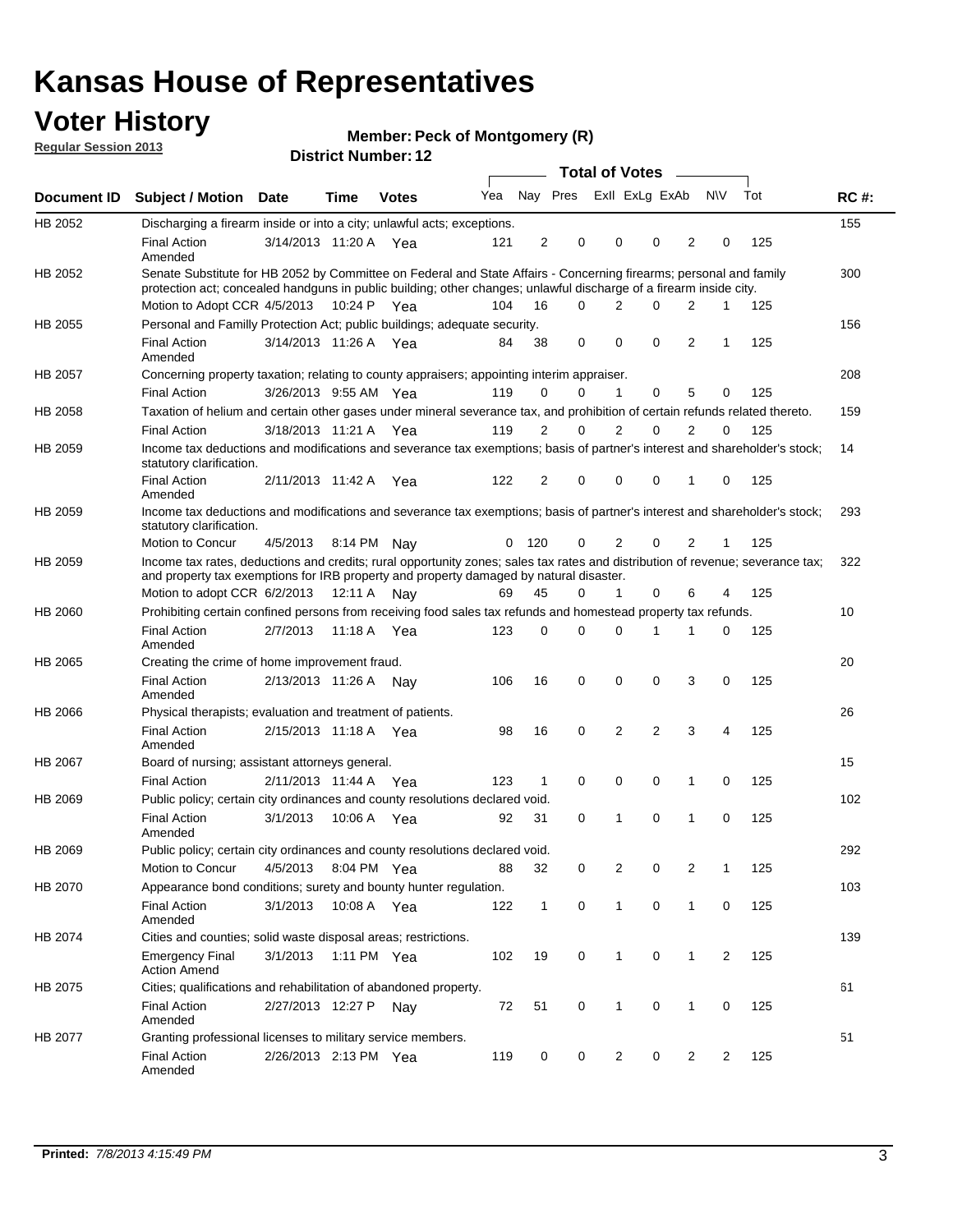## **Voter History**

**Member: Peck of Montgomery (R)** 

**Regular Session 2013**

|             |                                                                                                                                                                                                                                          |                       |             | ו הסעוווטנו ועווווטכו |     |                |          | <b>Total of Votes</b> | $\sim$         |                |           |     |             |
|-------------|------------------------------------------------------------------------------------------------------------------------------------------------------------------------------------------------------------------------------------------|-----------------------|-------------|-----------------------|-----|----------------|----------|-----------------------|----------------|----------------|-----------|-----|-------------|
| Document ID | <b>Subject / Motion Date</b>                                                                                                                                                                                                             |                       | Time        | <b>Votes</b>          | Yea |                | Nay Pres |                       | Exll ExLg ExAb |                | <b>NV</b> | Tot | <b>RC#:</b> |
| HB 2052     | Discharging a firearm inside or into a city; unlawful acts; exceptions.                                                                                                                                                                  |                       |             |                       |     |                |          |                       |                |                |           |     | 155         |
|             | <b>Final Action</b><br>Amended                                                                                                                                                                                                           | 3/14/2013 11:20 A Yea |             |                       | 121 | $\overline{2}$ | 0        | 0                     | 0              | $\overline{2}$ | 0         | 125 |             |
| HB 2052     | Senate Substitute for HB 2052 by Committee on Federal and State Affairs - Concerning firearms; personal and family<br>protection act; concealed handguns in public building; other changes; unlawful discharge of a firearm inside city. |                       |             |                       |     |                |          |                       |                |                |           |     | 300         |
|             | Motion to Adopt CCR 4/5/2013                                                                                                                                                                                                             |                       | 10:24 P Yea |                       | 104 | 16             | 0        | 2                     | 0              | 2              | 1         | 125 |             |
| HB 2055     | Personal and Familly Protection Act; public buildings; adequate security.                                                                                                                                                                |                       |             |                       |     |                |          |                       |                |                |           |     | 156         |
|             | <b>Final Action</b><br>Amended                                                                                                                                                                                                           | 3/14/2013 11:26 A Yea |             |                       | 84  | 38             | 0        | 0                     | 0              | $\overline{2}$ | 1         | 125 |             |
| HB 2057     | Concerning property taxation; relating to county appraisers; appointing interim appraiser.                                                                                                                                               |                       |             |                       |     |                |          |                       |                |                |           |     | 208         |
|             | <b>Final Action</b>                                                                                                                                                                                                                      | 3/26/2013 9:55 AM Yea |             |                       | 119 | 0              | 0        | 1                     | 0              | 5              | 0         | 125 |             |
| HB 2058     | Taxation of helium and certain other gases under mineral severance tax, and prohibition of certain refunds related thereto.                                                                                                              |                       |             |                       |     |                |          |                       |                |                |           |     | 159         |
|             | <b>Final Action</b>                                                                                                                                                                                                                      | 3/18/2013 11:21 A Yea |             |                       | 119 | 2              | 0        | 2                     | 0              | 2              | $\Omega$  | 125 |             |
| HB 2059     | Income tax deductions and modifications and severance tax exemptions; basis of partner's interest and shareholder's stock;<br>statutory clarification.                                                                                   |                       |             |                       |     |                |          |                       |                |                |           |     | 14          |
|             | <b>Final Action</b><br>Amended                                                                                                                                                                                                           | 2/11/2013 11:42 A     |             | Yea                   | 122 | 2              | 0        | 0                     | 0              | 1              | 0         | 125 |             |
| HB 2059     | Income tax deductions and modifications and severance tax exemptions; basis of partner's interest and shareholder's stock;<br>statutory clarification.                                                                                   |                       |             |                       |     |                |          |                       |                |                |           |     | 293         |
|             | Motion to Concur                                                                                                                                                                                                                         | 4/5/2013              |             | 8:14 PM Nay           | 0   | - 120          | 0        | $\overline{2}$        | 0              | $\overline{2}$ | 1         | 125 |             |
| HB 2059     | Income tax rates, deductions and credits; rural opportunity zones; sales tax rates and distribution of revenue; severance tax;<br>and property tax exemptions for IRB property and property damaged by natural disaster.                 |                       |             |                       |     |                |          |                       |                |                |           |     | 322         |
|             | Motion to adopt CCR 6/2/2013                                                                                                                                                                                                             |                       | 12:11 A     | Nav                   | 69  | 45             | 0        | $\mathbf{1}$          | 0              | 6              | 4         | 125 |             |
| HB 2060     | Prohibiting certain confined persons from receiving food sales tax refunds and homestead property tax refunds.                                                                                                                           |                       |             |                       |     |                |          |                       |                |                |           |     | 10          |
|             | <b>Final Action</b><br>Amended                                                                                                                                                                                                           | 2/7/2013              | 11:18 A     | Yea                   | 123 | $\mathbf 0$    | 0        | $\Omega$              | 1              | 1              | 0         | 125 |             |
| HB 2065     | Creating the crime of home improvement fraud.                                                                                                                                                                                            |                       |             |                       |     |                |          |                       |                |                |           |     | 20          |
|             | <b>Final Action</b><br>Amended                                                                                                                                                                                                           | 2/13/2013 11:26 A Nav |             |                       | 106 | 16             | 0        | 0                     | 0              | 3              | 0         | 125 |             |
| HB 2066     | Physical therapists; evaluation and treatment of patients.                                                                                                                                                                               |                       |             |                       |     |                |          |                       |                |                |           |     | 26          |
|             | <b>Final Action</b><br>Amended                                                                                                                                                                                                           | 2/15/2013 11:18 A Yea |             |                       | 98  | 16             | 0        | 2                     | $\overline{2}$ | 3              | 4         | 125 |             |
| HB 2067     | Board of nursing; assistant attorneys general.                                                                                                                                                                                           |                       |             |                       |     |                |          |                       |                |                |           |     | 15          |
|             | <b>Final Action</b>                                                                                                                                                                                                                      | 2/11/2013 11:44 A Yea |             |                       | 123 | 1              | 0        | 0                     | 0              | 1              | 0         | 125 |             |
| HB 2069     | Public policy; certain city ordinances and county resolutions declared void.                                                                                                                                                             |                       |             |                       |     |                |          |                       |                |                |           |     | 102         |
|             | <b>Final Action</b><br>Amended                                                                                                                                                                                                           | 3/1/2013              | 10:06 A     | Yea                   | 92  | 31             | $\Omega$ | 1                     | 0              | 1              | 0         | 125 |             |
| HB 2069     | Public policy; certain city ordinances and county resolutions declared void.                                                                                                                                                             |                       |             |                       |     |                |          |                       |                |                |           |     | 292         |
|             | Motion to Concur                                                                                                                                                                                                                         | 4/5/2013              |             | 8:04 PM Yea           | 88  | 32             | 0        | 2                     | 0              | $\overline{2}$ | 1         | 125 |             |
| HB 2070     | Appearance bond conditions; surety and bounty hunter regulation.                                                                                                                                                                         |                       |             |                       |     |                |          |                       |                |                |           |     | 103         |
|             | <b>Final Action</b><br>Amended                                                                                                                                                                                                           | 3/1/2013              |             | 10:08 A Yea           | 122 | $\mathbf{1}$   | 0        | $\mathbf{1}$          | 0              | $\mathbf{1}$   | 0         | 125 |             |
| HB 2074     | Cities and counties; solid waste disposal areas; restrictions.                                                                                                                                                                           |                       |             |                       |     |                |          |                       |                |                |           |     | 139         |
|             | <b>Emergency Final</b><br><b>Action Amend</b>                                                                                                                                                                                            | 3/1/2013              |             | 1:11 PM Yea           | 102 | 19             | 0        | 1                     | 0              | $\mathbf{1}$   | 2         | 125 |             |
| HB 2075     | Cities; qualifications and rehabilitation of abandoned property.                                                                                                                                                                         |                       |             |                       |     |                |          |                       |                |                |           |     | 61          |
|             | <b>Final Action</b><br>Amended                                                                                                                                                                                                           | 2/27/2013 12:27 P     |             | Nav                   | 72  | 51             | 0        | 1                     | 0              | 1              | 0         | 125 |             |
| HB 2077     | Granting professional licenses to military service members.<br><b>Final Action</b><br>Amended                                                                                                                                            | 2/26/2013 2:13 PM Yea |             |                       | 119 | 0              | 0        | $\overline{2}$        | 0              | 2              | 2         | 125 | 51          |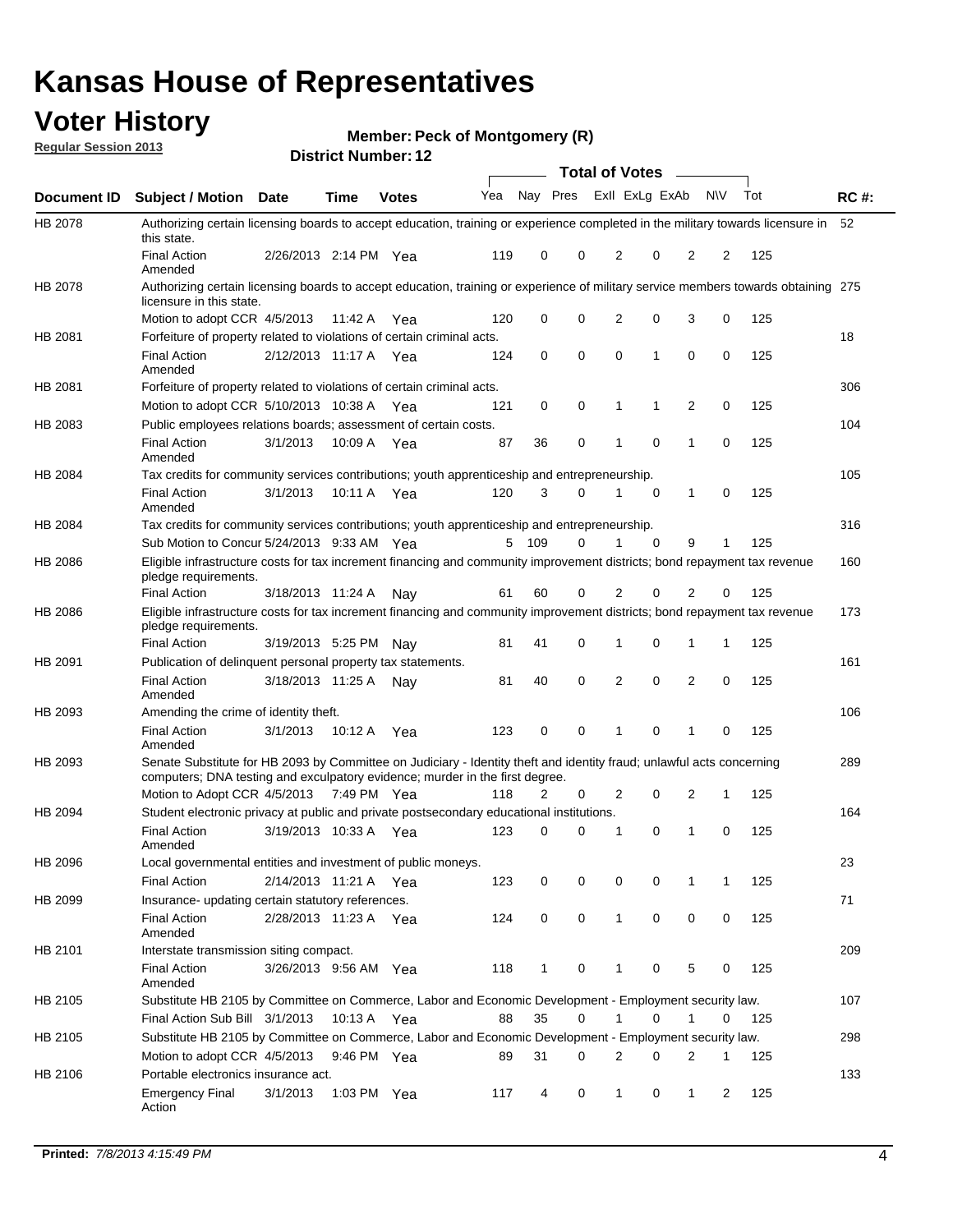## **Voter History**

**Member: Peck of Montgomery (R)** 

**Regular Session 2013**

|                    |                                                                                                                                                                                                       |                       |             | PISUILLINUIIIDEL. IZ |     |              |          |              | Total of Votes – |                |                |     |             |
|--------------------|-------------------------------------------------------------------------------------------------------------------------------------------------------------------------------------------------------|-----------------------|-------------|----------------------|-----|--------------|----------|--------------|------------------|----------------|----------------|-----|-------------|
| <b>Document ID</b> | <b>Subject / Motion</b>                                                                                                                                                                               | Date                  | Time        | <b>Votes</b>         | Yea | Nay Pres     |          |              | Exll ExLg ExAb   |                | <b>NV</b>      | Tot | <b>RC#:</b> |
| <b>HB 2078</b>     | Authorizing certain licensing boards to accept education, training or experience completed in the military towards licensure in                                                                       |                       |             |                      |     |              |          |              |                  |                |                |     | 52          |
|                    | this state.<br><b>Final Action</b><br>Amended                                                                                                                                                         | 2/26/2013 2:14 PM Yea |             |                      | 119 | 0            | 0        | 2            | 0                | 2              | 2              | 125 |             |
| HB 2078            | Authorizing certain licensing boards to accept education, training or experience of military service members towards obtaining 275<br>licensure in this state.                                        |                       |             |                      |     |              |          |              |                  |                |                |     |             |
|                    | Motion to adopt CCR 4/5/2013                                                                                                                                                                          |                       | 11:42 A     | Yea                  | 120 | 0            | 0        | 2            | 0                | 3              | 0              | 125 |             |
| HB 2081            | Forfeiture of property related to violations of certain criminal acts.                                                                                                                                |                       |             |                      |     |              |          |              |                  |                |                |     | 18          |
|                    | <b>Final Action</b><br>Amended                                                                                                                                                                        | 2/12/2013 11:17 A Yea |             |                      | 124 | 0            | 0        | 0            | 1                | 0              | 0              | 125 |             |
| HB 2081            | Forfeiture of property related to violations of certain criminal acts.                                                                                                                                |                       |             |                      |     |              |          |              |                  |                |                |     | 306         |
|                    | Motion to adopt CCR 5/10/2013 10:38 A                                                                                                                                                                 |                       |             | Yea                  | 121 | 0            | 0        | 1            | 1                | 2              | 0              | 125 |             |
| HB 2083            | Public employees relations boards; assessment of certain costs.                                                                                                                                       |                       |             |                      |     |              |          |              |                  |                |                |     | 104         |
|                    | <b>Final Action</b><br>Amended                                                                                                                                                                        | 3/1/2013              | 10:09 A     | Yea                  | 87  | 36           | 0        | 1            | 0                | 1              | 0              | 125 |             |
| HB 2084            | Tax credits for community services contributions; youth apprenticeship and entrepreneurship.                                                                                                          |                       |             |                      |     |              |          |              |                  |                |                |     | 105         |
|                    | <b>Final Action</b><br>Amended                                                                                                                                                                        | 3/1/2013              | 10:11 A Yea |                      | 120 | 3            | 0        | 1            | $\mathbf 0$      | 1              | 0              | 125 |             |
| HB 2084            | Tax credits for community services contributions; youth apprenticeship and entrepreneurship.                                                                                                          |                       |             |                      |     |              |          |              |                  |                |                |     | 316         |
|                    | Sub Motion to Concur 5/24/2013 9:33 AM Yea                                                                                                                                                            |                       |             |                      | 5   | 109          | 0        |              | $\Omega$         | 9              | 1              | 125 |             |
| HB 2086            | Eligible infrastructure costs for tax increment financing and community improvement districts; bond repayment tax revenue<br>pledge requirements.                                                     |                       |             |                      |     |              |          |              |                  |                |                |     | 160         |
|                    | Final Action                                                                                                                                                                                          | 3/18/2013 11:24 A     |             | Nav                  | 61  | 60           | 0        | 2            | 0                | 2              | 0              | 125 |             |
| HB 2086            | Eligible infrastructure costs for tax increment financing and community improvement districts; bond repayment tax revenue<br>pledge requirements.                                                     |                       |             |                      |     |              |          |              |                  |                |                |     | 173         |
|                    | <b>Final Action</b>                                                                                                                                                                                   | 3/19/2013 5:25 PM     |             | Nav                  | 81  | 41           | 0        | 1            | 0                | 1              | 1              | 125 |             |
| HB 2091            | Publication of delinquent personal property tax statements.                                                                                                                                           |                       |             |                      |     |              |          |              |                  |                |                |     | 161         |
|                    | <b>Final Action</b><br>Amended                                                                                                                                                                        | 3/18/2013 11:25 A     |             | Nay                  | 81  | 40           | $\Omega$ | 2            | 0                | $\overline{2}$ | 0              | 125 |             |
| HB 2093            | Amending the crime of identity theft.                                                                                                                                                                 |                       |             |                      |     |              |          |              |                  |                |                |     | 106         |
|                    | <b>Final Action</b><br>Amended                                                                                                                                                                        | 3/1/2013              | 10:12 A     | Yea                  | 123 | 0            | 0        | 1            | 0                | 1              | 0              | 125 |             |
| HB 2093            | Senate Substitute for HB 2093 by Committee on Judiciary - Identity theft and identity fraud; unlawful acts concerning<br>computers; DNA testing and exculpatory evidence; murder in the first degree. |                       |             |                      |     |              |          |              |                  |                |                |     | 289         |
|                    | Motion to Adopt CCR 4/5/2013 7:49 PM Yea                                                                                                                                                              |                       |             |                      | 118 | 2            | 0        | 2            | 0                | 2              | 1              | 125 |             |
| HB 2094            | Student electronic privacy at public and private postsecondary educational institutions.                                                                                                              |                       |             |                      |     |              |          |              |                  |                |                |     | 164         |
|                    | <b>Final Action</b><br>Amended                                                                                                                                                                        | 3/19/2013 10:33 A     |             | Yea                  | 123 | 0            | 0        | 1            | 0                | 1              | 0              | 125 |             |
| HB 2096            | Local governmental entities and investment of public moneys.                                                                                                                                          |                       |             |                      |     |              |          |              |                  |                |                |     | 23          |
|                    | <b>Final Action</b>                                                                                                                                                                                   | 2/14/2013 11:21 A     |             | Yea                  | 123 | 0            | 0        | 0            | 0                | 1              | 1              | 125 |             |
| HB 2099            | Insurance- updating certain statutory references.                                                                                                                                                     |                       |             |                      |     |              |          |              |                  |                |                |     | 71          |
|                    | <b>Final Action</b><br>Amended                                                                                                                                                                        | 2/28/2013 11:23 A     |             | Yea                  | 124 | 0            | 0        | $\mathbf{1}$ | 0                | 0              | 0              | 125 |             |
| HB 2101            | Interstate transmission siting compact.                                                                                                                                                               |                       |             |                      |     |              |          |              |                  |                |                |     | 209         |
|                    | Final Action<br>Amended                                                                                                                                                                               | 3/26/2013 9:56 AM Yea |             |                      | 118 | $\mathbf{1}$ | 0        | 1            | 0                | 5              | 0              | 125 |             |
| HB 2105            | Substitute HB 2105 by Committee on Commerce, Labor and Economic Development - Employment security law.                                                                                                |                       |             |                      |     |              |          |              |                  |                |                |     | 107         |
|                    | Final Action Sub Bill 3/1/2013                                                                                                                                                                        |                       | 10:13 A Yea |                      | 88  | 35           | 0        | 1            | 0                | 1              | 0              | 125 |             |
| HB 2105            | Substitute HB 2105 by Committee on Commerce, Labor and Economic Development - Employment security law.                                                                                                |                       |             |                      |     |              |          |              |                  |                |                |     | 298         |
|                    | Motion to adopt CCR 4/5/2013                                                                                                                                                                          |                       | 9:46 PM Yea |                      | 89  | 31           | 0        | 2            | 0                | 2              | 1              | 125 |             |
| HB 2106            | Portable electronics insurance act.                                                                                                                                                                   |                       |             |                      |     |              |          |              |                  |                |                |     | 133         |
|                    | <b>Emergency Final</b><br>Action                                                                                                                                                                      | 3/1/2013              | 1:03 PM Yea |                      | 117 | 4            | 0        | $\mathbf{1}$ | 0                | $\mathbf{1}$   | $\overline{2}$ | 125 |             |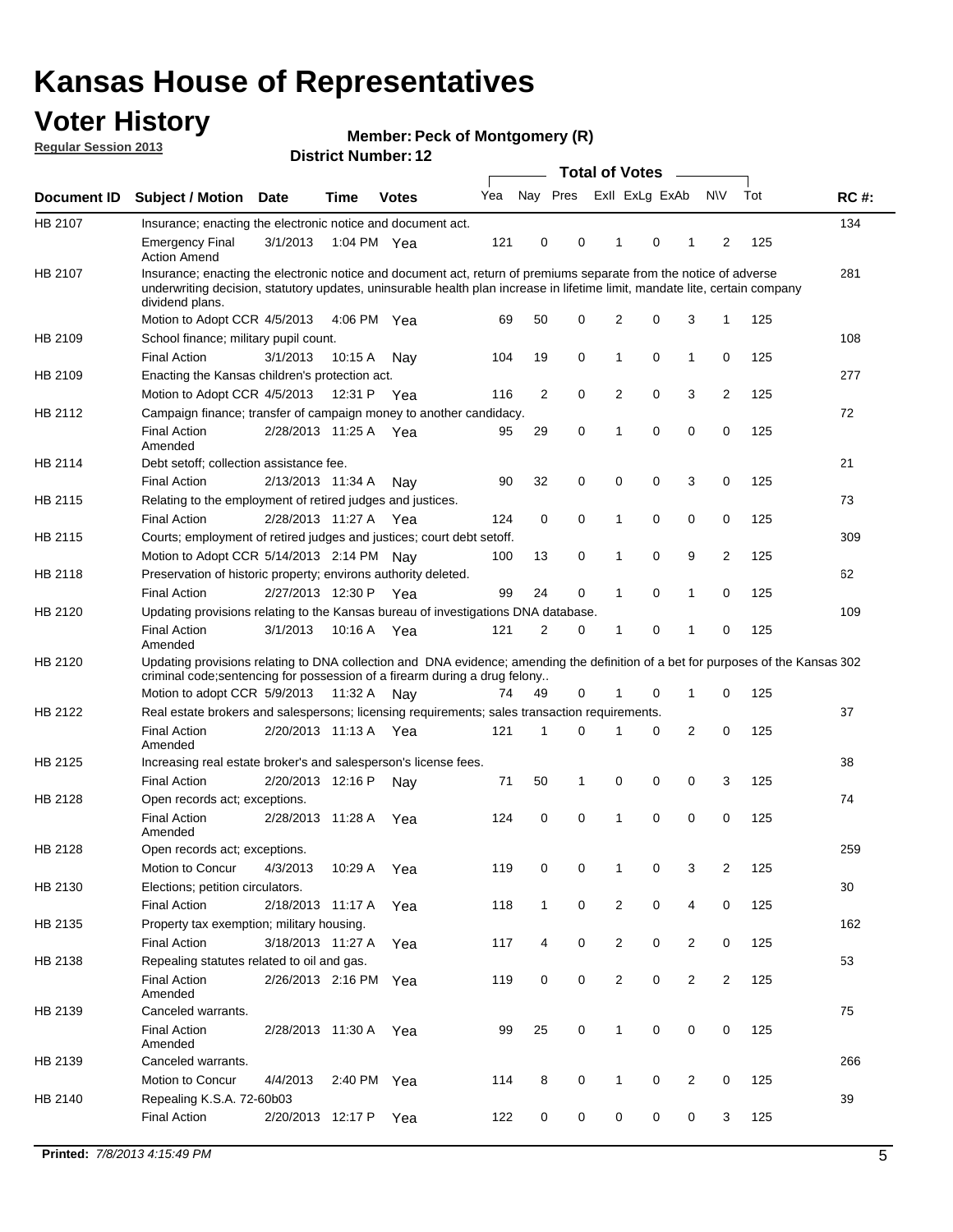## **Voter History**

**Member: Peck of Montgomery (R)** 

**Regular Session 2013**

|                    |                                                                                                                                                                                                                                                                      |                       |             | PISUILLINUIIIDEL. IZ |     |                | Total of Votes - |                |          |                |                |     |             |
|--------------------|----------------------------------------------------------------------------------------------------------------------------------------------------------------------------------------------------------------------------------------------------------------------|-----------------------|-------------|----------------------|-----|----------------|------------------|----------------|----------|----------------|----------------|-----|-------------|
| <b>Document ID</b> | <b>Subject / Motion</b>                                                                                                                                                                                                                                              | Date                  | <b>Time</b> | <b>Votes</b>         | Yea | Nay Pres       |                  | Exll ExLg ExAb |          |                | <b>NV</b>      | Tot | <b>RC#:</b> |
| HB 2107            | Insurance; enacting the electronic notice and document act.                                                                                                                                                                                                          |                       |             |                      |     |                |                  |                |          |                |                |     | 134         |
|                    | <b>Emergency Final</b><br><b>Action Amend</b>                                                                                                                                                                                                                        | 3/1/2013              |             | 1:04 PM Yea          | 121 | 0              | 0                | $\mathbf 1$    | 0        | 1              | 2              | 125 |             |
| HB 2107            | Insurance; enacting the electronic notice and document act, return of premiums separate from the notice of adverse<br>underwriting decision, statutory updates, uninsurable health plan increase in lifetime limit, mandate lite, certain company<br>dividend plans. |                       |             |                      |     |                |                  |                |          |                |                |     | 281         |
|                    | Motion to Adopt CCR 4/5/2013                                                                                                                                                                                                                                         |                       |             | 4:06 PM Yea          | 69  | 50             | 0                | 2              | 0        | 3              | 1              | 125 |             |
| HB 2109            | School finance; military pupil count.                                                                                                                                                                                                                                |                       |             |                      |     |                |                  |                |          |                |                |     | 108         |
|                    | <b>Final Action</b>                                                                                                                                                                                                                                                  | 3/1/2013              | 10:15 A     | Nay                  | 104 | 19             | 0                | 1              | 0        | $\mathbf{1}$   | 0              | 125 |             |
| HB 2109            | Enacting the Kansas children's protection act.                                                                                                                                                                                                                       |                       |             |                      |     |                |                  |                |          |                |                |     | 277         |
|                    | Motion to Adopt CCR 4/5/2013                                                                                                                                                                                                                                         |                       | 12:31 P     | Yea                  | 116 | 2              | 0                | 2              | 0        | 3              | $\overline{2}$ | 125 |             |
| HB 2112            | Campaign finance; transfer of campaign money to another candidacy.                                                                                                                                                                                                   |                       |             |                      |     |                |                  |                |          |                |                |     | 72          |
|                    | <b>Final Action</b><br>Amended                                                                                                                                                                                                                                       | 2/28/2013 11:25 A Yea |             |                      | 95  | 29             | 0                | 1              | 0        | 0              | 0              | 125 |             |
| HB 2114            | Debt setoff; collection assistance fee.                                                                                                                                                                                                                              |                       |             |                      |     |                |                  |                |          |                |                |     | 21          |
|                    | <b>Final Action</b>                                                                                                                                                                                                                                                  | 2/13/2013 11:34 A     |             | Nay                  | 90  | 32             | 0                | 0              | 0        | 3              | 0              | 125 |             |
| HB 2115            | Relating to the employment of retired judges and justices.                                                                                                                                                                                                           |                       |             |                      |     |                |                  |                |          |                |                |     | 73          |
|                    | <b>Final Action</b>                                                                                                                                                                                                                                                  | 2/28/2013 11:27 A     |             | Yea                  | 124 | 0              | 0                | 1              | 0        | 0              | 0              | 125 |             |
| HB 2115            | Courts; employment of retired judges and justices; court debt setoff.                                                                                                                                                                                                |                       |             |                      |     |                |                  |                |          |                |                |     | 309         |
|                    | Motion to Adopt CCR 5/14/2013 2:14 PM Nav                                                                                                                                                                                                                            |                       |             |                      | 100 | 13             | 0                | 1              | 0        | 9              | $\overline{2}$ | 125 |             |
| HB 2118            | Preservation of historic property; environs authority deleted.                                                                                                                                                                                                       |                       |             |                      |     |                |                  |                |          |                |                |     | 62          |
|                    | <b>Final Action</b>                                                                                                                                                                                                                                                  | 2/27/2013 12:30 P     |             | Yea                  | 99  | 24             | 0                | 1              | 0        | 1              | 0              | 125 |             |
| HB 2120            | Updating provisions relating to the Kansas bureau of investigations DNA database.                                                                                                                                                                                    |                       |             |                      |     |                |                  |                |          |                |                |     | 109         |
|                    | <b>Final Action</b><br>Amended                                                                                                                                                                                                                                       | 3/1/2013              | 10:16 A     | Yea                  | 121 | $\overline{2}$ | 0                | 1              | 0        | 1              | 0              | 125 |             |
| HB 2120            | Updating provisions relating to DNA collection and DNA evidence; amending the definition of a bet for purposes of the Kansas 302<br>criminal code; sentencing for possession of a firearm during a drug felony                                                       |                       |             |                      |     |                |                  |                |          |                |                |     |             |
|                    | Motion to adopt CCR 5/9/2013 11:32 A Nay                                                                                                                                                                                                                             |                       |             |                      | 74  | 49             | 0                |                | 0        | 1              | 0              | 125 |             |
| HB 2122            | Real estate brokers and salespersons; licensing requirements; sales transaction requirements.                                                                                                                                                                        |                       |             |                      |     |                |                  |                |          |                |                |     | 37          |
|                    | <b>Final Action</b><br>Amended                                                                                                                                                                                                                                       | 2/20/2013 11:13 A     |             | Yea                  | 121 | 1              | $\Omega$         |                | 0        | $\overline{2}$ | 0              | 125 |             |
| HB 2125            | Increasing real estate broker's and salesperson's license fees.                                                                                                                                                                                                      |                       |             |                      |     |                |                  |                |          |                |                |     | 38          |
|                    | <b>Final Action</b>                                                                                                                                                                                                                                                  | 2/20/2013 12:16 P     |             | Nav                  | 71  | 50             | 1                | 0              | 0        | 0              | 3              | 125 |             |
| HB 2128            | Open records act; exceptions.<br><b>Final Action</b>                                                                                                                                                                                                                 | 2/28/2013 11:28 A     |             | Yea                  | 124 | 0              | $\Omega$         | 1              | $\Omega$ | 0              | 0              | 125 | 74          |
|                    | Amended                                                                                                                                                                                                                                                              |                       |             |                      |     |                |                  |                |          |                |                |     |             |
| HB 2128            | Open records act; exceptions.                                                                                                                                                                                                                                        |                       |             |                      |     |                |                  |                |          |                |                |     | 259         |
|                    | Motion to Concur                                                                                                                                                                                                                                                     | 4/3/2013              | 10:29 A     | Yea                  | 119 | 0              | 0                |                | 0        | 3              | 2              | 125 |             |
| HB 2130            | Elections; petition circulators.                                                                                                                                                                                                                                     |                       |             |                      |     |                |                  |                |          |                |                |     | 30          |
|                    | <b>Final Action</b>                                                                                                                                                                                                                                                  | 2/18/2013 11:17 A     |             | Yea                  | 118 | $\mathbf{1}$   | 0                | 2              | 0        | 4              | 0              | 125 |             |
| HB 2135            | Property tax exemption; military housing.                                                                                                                                                                                                                            |                       |             |                      |     |                |                  |                |          |                |                |     | 162         |
|                    | <b>Final Action</b>                                                                                                                                                                                                                                                  | 3/18/2013 11:27 A     |             | Yea                  | 117 | 4              | 0                | 2              | 0        | $\overline{2}$ | 0              | 125 |             |
| HB 2138            | Repealing statutes related to oil and gas.                                                                                                                                                                                                                           |                       |             |                      |     |                |                  |                |          |                |                |     | 53          |
|                    | <b>Final Action</b><br>Amended                                                                                                                                                                                                                                       | 2/26/2013 2:16 PM Yea |             |                      | 119 | 0              | 0                | 2              | 0        | $\overline{2}$ | $\overline{2}$ | 125 |             |
| HB 2139            | Canceled warrants.                                                                                                                                                                                                                                                   |                       |             |                      |     |                |                  |                |          |                |                |     | 75          |
|                    | <b>Final Action</b><br>Amended                                                                                                                                                                                                                                       | 2/28/2013 11:30 A     |             | Yea                  | 99  | 25             | 0                | 1              | 0        | 0              | 0              | 125 |             |
| HB 2139            | Canceled warrants.                                                                                                                                                                                                                                                   |                       |             |                      |     |                |                  |                |          |                |                |     | 266         |
|                    | Motion to Concur                                                                                                                                                                                                                                                     | 4/4/2013              | 2:40 PM     | Yea                  | 114 | 8              | 0                | 1              | 0        | 2              | 0              | 125 |             |
| HB 2140            | Repealing K.S.A. 72-60b03                                                                                                                                                                                                                                            |                       |             |                      |     |                |                  |                |          |                |                |     | 39          |
|                    | <b>Final Action</b>                                                                                                                                                                                                                                                  | 2/20/2013 12:17 P     |             | Yea                  | 122 | 0              | 0                | 0              | 0        | 0              | 3              | 125 |             |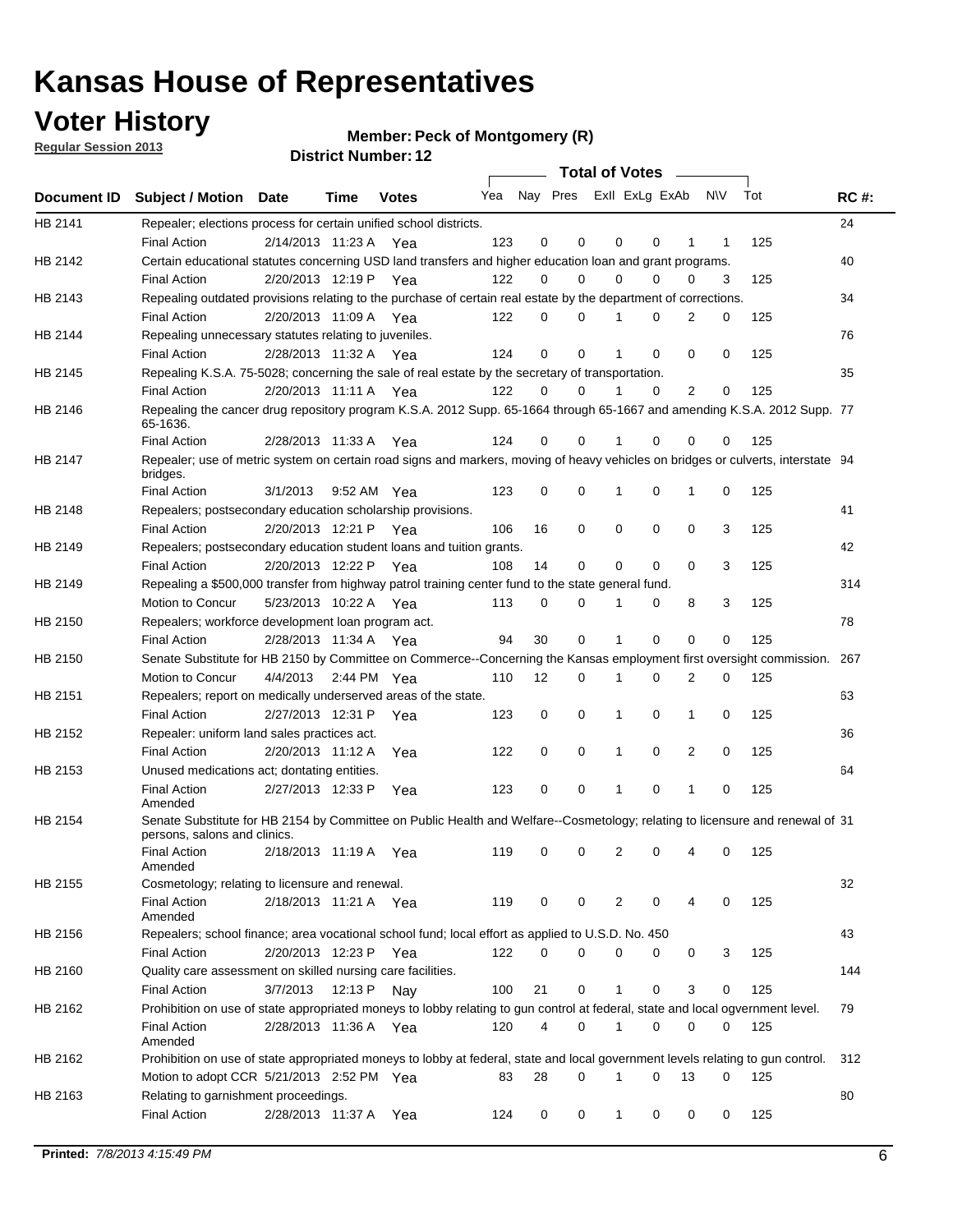## **Voter History**

**Member: Peck of Montgomery (R)** 

**Regular Session 2013**

|             |                                                                                                                                              |                       |             | ו הסעוווטנו ועווווטכו |                             |             |   |          | Total of Votes – |                |           |     |             |
|-------------|----------------------------------------------------------------------------------------------------------------------------------------------|-----------------------|-------------|-----------------------|-----------------------------|-------------|---|----------|------------------|----------------|-----------|-----|-------------|
| Document ID | Subject / Motion Date                                                                                                                        |                       | <b>Time</b> | <b>Votes</b>          | Yea Nay Pres ExII ExLg ExAb |             |   |          |                  |                | <b>NV</b> | Tot | <b>RC#:</b> |
| HB 2141     | Repealer; elections process for certain unified school districts.                                                                            |                       |             |                       |                             | 0           | 0 |          | 0                | 1              |           |     | 24          |
| HB 2142     | <b>Final Action</b><br>Certain educational statutes concerning USD land transfers and higher education loan and grant programs.              | 2/14/2013 11:23 A Yea |             |                       | 123                         |             |   | 0        |                  |                | 1         | 125 | 40          |
|             | <b>Final Action</b>                                                                                                                          | 2/20/2013 12:19 P Yea |             |                       | 122                         | 0           | 0 | $\Omega$ | 0                | $\Omega$       | 3         | 125 |             |
| HB 2143     | Repealing outdated provisions relating to the purchase of certain real estate by the department of corrections.                              |                       |             |                       |                             |             |   |          |                  |                |           |     | 34          |
|             | <b>Final Action</b>                                                                                                                          | 2/20/2013 11:09 A Yea |             |                       | 122                         | 0           | 0 |          | 0                | 2              | 0         | 125 |             |
| HB 2144     | Repealing unnecessary statutes relating to juveniles.                                                                                        |                       |             |                       |                             |             |   |          |                  |                |           |     | 76          |
|             | <b>Final Action</b>                                                                                                                          | 2/28/2013 11:32 A Yea |             |                       | 124                         | $\mathbf 0$ | 0 | 1        | 0                | $\Omega$       | 0         | 125 |             |
| HB 2145     | Repealing K.S.A. 75-5028; concerning the sale of real estate by the secretary of transportation.                                             |                       |             |                       |                             |             |   |          |                  |                |           |     | 35          |
|             | <b>Final Action</b>                                                                                                                          | 2/20/2013 11:11 A Yea |             |                       | 122                         | 0           | 0 |          | $\Omega$         | $\overline{2}$ | 0         | 125 |             |
| HB 2146     | Repealing the cancer drug repository program K.S.A. 2012 Supp. 65-1664 through 65-1667 and amending K.S.A. 2012 Supp. 77<br>65-1636.         |                       |             |                       |                             |             |   |          |                  |                |           |     |             |
|             | <b>Final Action</b>                                                                                                                          | 2/28/2013 11:33 A     |             | Yea                   | 124                         | 0           | 0 |          | 0                | 0              | 0         | 125 |             |
| HB 2147     | Repealer; use of metric system on certain road signs and markers, moving of heavy vehicles on bridges or culverts, interstate 94<br>bridges. |                       |             |                       |                             |             |   |          |                  |                |           |     |             |
|             | <b>Final Action</b>                                                                                                                          | 3/1/2013              |             | 9:52 AM Yea           | 123                         | 0           | 0 |          | 0                | 1              | 0         | 125 |             |
| HB 2148     | Repealers; postsecondary education scholarship provisions.                                                                                   |                       |             |                       |                             |             |   |          |                  |                |           |     | 41          |
|             | <b>Final Action</b>                                                                                                                          | 2/20/2013 12:21 P Yea |             |                       | 106                         | 16          | 0 | 0        | 0                | 0              | 3         | 125 |             |
| HB 2149     | Repealers; postsecondary education student loans and tuition grants.                                                                         |                       |             |                       |                             |             |   |          |                  |                |           |     | 42          |
|             | <b>Final Action</b>                                                                                                                          | 2/20/2013 12:22 P     |             | Yea                   | 108                         | 14          | 0 | 0        | 0                | 0              | 3         | 125 |             |
| HB 2149     | Repealing a \$500,000 transfer from highway patrol training center fund to the state general fund.                                           |                       |             |                       |                             |             |   |          |                  |                |           |     | 314         |
|             | Motion to Concur                                                                                                                             | 5/23/2013 10:22 A Yea |             |                       | 113                         | 0           | 0 | 1        | 0                | 8              | 3         | 125 |             |
| HB 2150     | Repealers; workforce development loan program act.                                                                                           |                       |             |                       |                             |             |   |          |                  |                |           |     | 78          |
|             | <b>Final Action</b>                                                                                                                          | 2/28/2013 11:34 A     |             | Yea                   | 94                          | 30          | 0 | 1        | $\Omega$         | 0              | 0         | 125 |             |
| HB 2150     | Senate Substitute for HB 2150 by Committee on Commerce--Concerning the Kansas employment first oversight commission.                         |                       |             |                       |                             |             |   |          |                  |                |           |     | 267         |
|             | Motion to Concur                                                                                                                             | 4/4/2013 2:44 PM Yea  |             |                       | 110                         | 12          | 0 | 1        | 0                | 2              | 0         | 125 |             |
| HB 2151     | Repealers; report on medically underserved areas of the state.                                                                               |                       |             |                       |                             |             |   |          |                  |                |           |     | 63          |
|             | <b>Final Action</b>                                                                                                                          | 2/27/2013 12:31 P     |             | Yea                   | 123                         | 0           | 0 | 1        | 0                | 1              | 0         | 125 |             |
| HB 2152     | Repealer: uniform land sales practices act.                                                                                                  |                       |             |                       |                             |             |   |          |                  |                |           |     | 36          |
| HB 2153     | <b>Final Action</b><br>Unused medications act; dontating entities.                                                                           | 2/20/2013 11:12 A     |             | Yea                   | 122                         | 0           | 0 | 1        | 0                | 2              | 0         | 125 | 64          |
|             | <b>Final Action</b>                                                                                                                          | 2/27/2013 12:33 P     |             |                       | 123                         | 0           | 0 | 1        | 0                | 1              | 0         | 125 |             |
|             | Amended                                                                                                                                      |                       |             | Yea                   |                             |             |   |          |                  |                |           |     |             |
| HB 2154     | Senate Substitute for HB 2154 by Committee on Public Health and Welfare--Cosmetology; relating to licensure and renewal of 31                |                       |             |                       |                             |             |   |          |                  |                |           |     |             |
|             | persons, salons and clinics.<br>Final Action                                                                                                 | 2/18/2013 11:19 A Yea |             |                       | 119                         | 0           | 0 | 2        | 0                | 4              | 0         | 125 |             |
|             | Amended                                                                                                                                      |                       |             |                       |                             |             |   |          |                  |                |           |     |             |
| HB 2155     | Cosmetology; relating to licensure and renewal.                                                                                              |                       |             |                       |                             |             |   |          |                  |                |           |     | 32          |
|             | <b>Final Action</b>                                                                                                                          | 2/18/2013 11:21 A Yea |             |                       | 119                         | 0           | 0 | 2        | 0                | 4              | 0         | 125 |             |
|             | Amended                                                                                                                                      |                       |             |                       |                             |             |   |          |                  |                |           |     |             |
| HB 2156     | Repealers; school finance; area vocational school fund; local effort as applied to U.S.D. No. 450                                            |                       |             |                       |                             |             |   |          |                  |                |           |     | 43          |
|             | <b>Final Action</b>                                                                                                                          | 2/20/2013 12:23 P     |             | Yea                   | 122                         | 0           | 0 | 0        | 0                | 0              | 3         | 125 |             |
| HB 2160     | Quality care assessment on skilled nursing care facilities.                                                                                  |                       |             |                       |                             |             |   |          |                  |                |           |     | 144         |
|             | <b>Final Action</b>                                                                                                                          | 3/7/2013              | 12:13 P     | Nay                   | 100                         | 21          | 0 | 1        | 0                | 3              | 0         | 125 |             |
| HB 2162     | Prohibition on use of state appropriated moneys to lobby relating to gun control at federal, state and local ogvernment level.               |                       |             |                       |                             |             |   |          |                  |                |           |     | 79          |
|             | <b>Final Action</b><br>Amended                                                                                                               | 2/28/2013 11:36 A Yea |             |                       | 120                         | 4           | 0 | 1        | 0                | 0              | 0         | 125 |             |
| HB 2162     | Prohibition on use of state appropriated moneys to lobby at federal, state and local government levels relating to gun control.              |                       |             |                       |                             |             |   |          |                  |                |           |     | 312         |
|             | Motion to adopt CCR 5/21/2013 2:52 PM Yea                                                                                                    |                       |             |                       | 83                          | 28          | 0 | 1        | 0                | 13             | 0         | 125 |             |
| HB 2163     | Relating to garnishment proceedings.                                                                                                         | 2/28/2013 11:37 A     |             |                       |                             |             |   |          |                  |                |           |     | 80          |
|             | <b>Final Action</b>                                                                                                                          |                       |             | Yea                   | 124                         | 0           | 0 | 1        | 0                | 0              | 0         | 125 |             |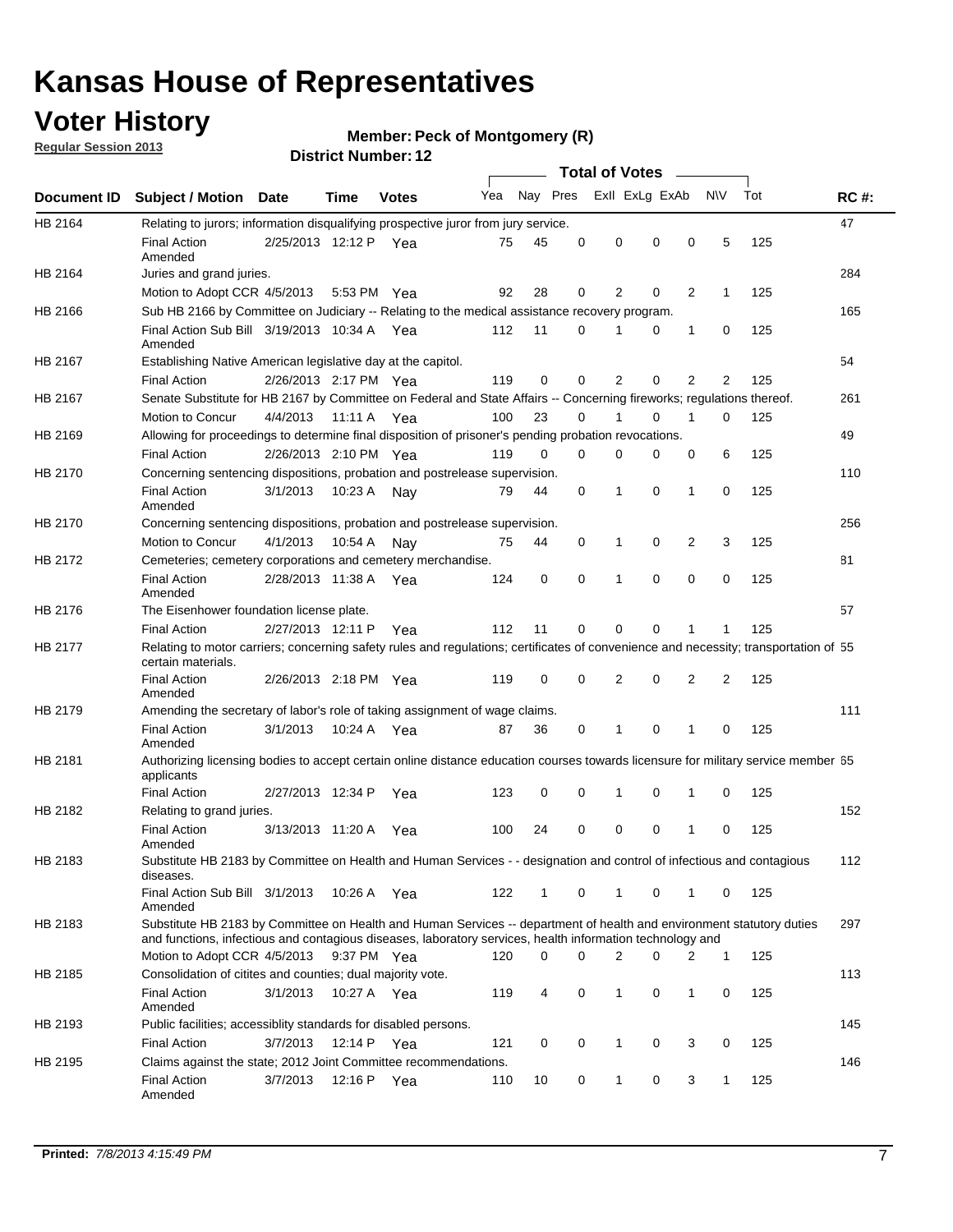## **Voter History**

**Member: Peck of Montgomery (R)** 

**Regular Session 2013**

|             |                                                                                                                                                                                                                                    |                       |         | <b>DISTRICT NUMBER: 12</b> |     |              |          |              | <b>Total of Votes</b> |                |              |     |             |
|-------------|------------------------------------------------------------------------------------------------------------------------------------------------------------------------------------------------------------------------------------|-----------------------|---------|----------------------------|-----|--------------|----------|--------------|-----------------------|----------------|--------------|-----|-------------|
| Document ID | <b>Subject / Motion</b>                                                                                                                                                                                                            | Date                  | Time    | <b>Votes</b>               | Yea | Nay Pres     |          |              | Exll ExLg ExAb        | $\sim$         | <b>NV</b>    | Tot | <b>RC#:</b> |
| HB 2164     | Relating to jurors; information disqualifying prospective juror from jury service.                                                                                                                                                 |                       |         |                            |     |              |          |              |                       |                |              |     | 47          |
|             | <b>Final Action</b><br>Amended                                                                                                                                                                                                     | 2/25/2013 12:12 P Yea |         |                            | 75  | 45           | 0        | 0            | 0                     | 0              | 5            | 125 |             |
| HB 2164     | Juries and grand juries.                                                                                                                                                                                                           |                       |         |                            |     |              |          |              |                       |                |              |     | 284         |
|             | Motion to Adopt CCR 4/5/2013                                                                                                                                                                                                       |                       | 5:53 PM | Yea                        | 92  | 28           | 0        | 2            | 0                     | 2              | 1            | 125 |             |
| HB 2166     | Sub HB 2166 by Committee on Judiciary -- Relating to the medical assistance recovery program.                                                                                                                                      |                       |         |                            |     |              |          |              |                       |                |              |     | 165         |
|             | Final Action Sub Bill 3/19/2013 10:34 A<br>Amended                                                                                                                                                                                 |                       |         | Yea                        | 112 | 11           | 0        | 1            | 0                     | 1              | 0            | 125 |             |
| HB 2167     | Establishing Native American legislative day at the capitol.                                                                                                                                                                       |                       |         |                            |     |              |          |              |                       |                |              |     | 54          |
|             | <b>Final Action</b>                                                                                                                                                                                                                | 2/26/2013 2:17 PM Yea |         |                            | 119 | 0            | $\Omega$ | 2            | 0                     | 2              | 2            | 125 |             |
| HB 2167     | Senate Substitute for HB 2167 by Committee on Federal and State Affairs -- Concerning fireworks; regulations thereof.                                                                                                              |                       |         |                            |     |              |          |              |                       |                |              |     | 261         |
|             | Motion to Concur                                                                                                                                                                                                                   | 4/4/2013              |         | 11:11 A Yea                | 100 | 23           | 0        | 1            | 0                     | 1              | 0            | 125 |             |
| HB 2169     | Allowing for proceedings to determine final disposition of prisoner's pending probation revocations.                                                                                                                               |                       |         |                            |     |              |          |              |                       |                |              |     | 49          |
|             | <b>Final Action</b>                                                                                                                                                                                                                | 2/26/2013 2:10 PM Yea |         |                            | 119 | 0            | $\Omega$ | 0            | 0                     | 0              | 6            | 125 |             |
| HB 2170     | Concerning sentencing dispositions, probation and postrelease supervision.                                                                                                                                                         |                       |         |                            |     |              |          |              |                       |                |              |     | 110         |
|             | <b>Final Action</b><br>Amended                                                                                                                                                                                                     | 3/1/2013              | 10:23 A | Nay                        | 79  | 44           | 0        | 1            | 0                     | 1              | 0            | 125 |             |
| HB 2170     | Concerning sentencing dispositions, probation and postrelease supervision.                                                                                                                                                         |                       |         |                            |     |              |          |              |                       |                |              |     | 256         |
|             | Motion to Concur                                                                                                                                                                                                                   | 4/1/2013              | 10:54 A | Nay                        | 75  | 44           | 0        | 1            | 0                     | $\overline{2}$ | 3            | 125 |             |
| HB 2172     | Cemeteries; cemetery corporations and cemetery merchandise.                                                                                                                                                                        |                       |         |                            |     |              |          |              |                       |                |              |     | 81          |
|             | <b>Final Action</b><br>Amended                                                                                                                                                                                                     | 2/28/2013 11:38 A     |         | Yea                        | 124 | 0            | $\Omega$ | 1            | $\Omega$              | $\Omega$       | 0            | 125 |             |
| HB 2176     | The Eisenhower foundation license plate.                                                                                                                                                                                           |                       |         |                            |     |              |          |              |                       |                |              |     | 57          |
|             | <b>Final Action</b>                                                                                                                                                                                                                | 2/27/2013 12:11 P     |         | Yea                        | 112 | 11           | 0        | 0            | 0                     | 1              | 1            | 125 |             |
| HB 2177     | Relating to motor carriers; concerning safety rules and regulations; certificates of convenience and necessity; transportation of 55<br>certain materials.                                                                         |                       |         |                            |     |              |          |              |                       |                |              |     |             |
|             | <b>Final Action</b><br>Amended                                                                                                                                                                                                     | 2/26/2013 2:18 PM Yea |         |                            | 119 | 0            | 0        | 2            | 0                     | $\overline{2}$ | 2            | 125 |             |
| HB 2179     | Amending the secretary of labor's role of taking assignment of wage claims.                                                                                                                                                        |                       |         |                            |     |              |          |              |                       |                |              |     | 111         |
|             | <b>Final Action</b><br>Amended                                                                                                                                                                                                     | 3/1/2013              | 10:24 A | Yea                        | 87  | 36           | 0        | 1            | 0                     | 1              | 0            | 125 |             |
| HB 2181     | Authorizing licensing bodies to accept certain online distance education courses towards licensure for military service member 55<br>applicants                                                                                    |                       |         |                            |     |              |          |              |                       |                |              |     |             |
|             | <b>Final Action</b>                                                                                                                                                                                                                | 2/27/2013 12:34 P     |         | Yea                        | 123 | 0            | 0        | 1            | 0                     | 1              | 0            | 125 |             |
| HB 2182     | Relating to grand juries.                                                                                                                                                                                                          |                       |         |                            |     |              |          |              |                       |                |              |     | 152         |
|             | <b>Final Action</b><br>Amended                                                                                                                                                                                                     | 3/13/2013 11:20 A     |         | Yea                        | 100 | 24           | 0        | 0            | 0                     | 1              | 0            | 125 |             |
| HB 2183     | Substitute HB 2183 by Committee on Health and Human Services - - designation and control of infectious and contagious<br>diseases.                                                                                                 |                       |         |                            |     |              |          |              |                       |                |              |     | 112         |
|             | Final Action Sub Bill 3/1/2013<br>Amended                                                                                                                                                                                          |                       | 10:26 A | Yea                        | 122 | $\mathbf{1}$ | 0        | $\mathbf{1}$ | 0                     | 1              | 0            | 125 |             |
| HB 2183     | Substitute HB 2183 by Committee on Health and Human Services -- department of health and environment statutory duties<br>and functions, infectious and contagious diseases, laboratory services, health information technology and |                       |         |                            |     |              |          |              |                       |                |              |     | 297         |
|             | Motion to Adopt CCR 4/5/2013                                                                                                                                                                                                       |                       |         | 9:37 PM Yea                | 120 | 0            | $\Omega$ | 2            | 0                     | 2              | 1            | 125 |             |
| HB 2185     | Consolidation of citites and counties; dual majority vote.                                                                                                                                                                         |                       |         |                            |     |              |          |              |                       |                |              |     | 113         |
|             | <b>Final Action</b><br>Amended                                                                                                                                                                                                     | 3/1/2013              |         | 10:27 A Yea                | 119 | 4            | 0        | $\mathbf{1}$ | 0                     | 1              | 0            | 125 |             |
| HB 2193     | Public facilities; accessiblity standards for disabled persons.                                                                                                                                                                    |                       |         |                            |     |              |          |              |                       |                |              |     | 145         |
|             | <b>Final Action</b>                                                                                                                                                                                                                | 3/7/2013              | 12:14 P | Yea                        | 121 | 0            | 0        | $\mathbf{1}$ | 0                     | 3              | 0            | 125 |             |
| HB 2195     | Claims against the state; 2012 Joint Committee recommendations.                                                                                                                                                                    |                       |         |                            |     |              |          |              |                       |                |              |     | 146         |
|             | <b>Final Action</b><br>Amended                                                                                                                                                                                                     | 3/7/2013              | 12:16 P | Yea                        | 110 | 10           | 0        | $\mathbf{1}$ | 0                     | 3              | $\mathbf{1}$ | 125 |             |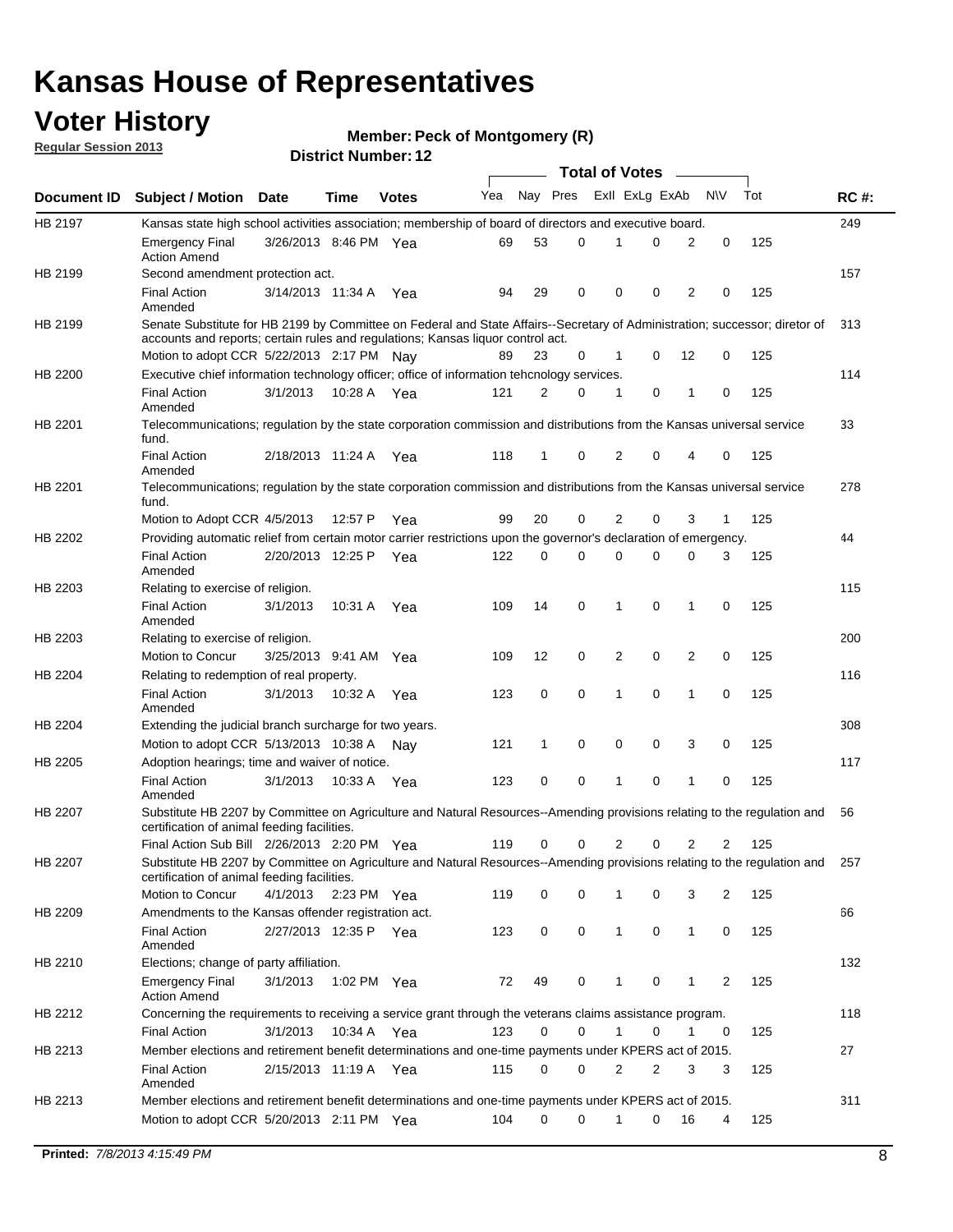## **Voter History**

**Member: Peck of Montgomery (R)** 

**Regular Session 2013**

|                |                                                                                                                                                                             |                       |             |              |     |          |          | <b>Total of Votes</b> |   |              |            |     |             |
|----------------|-----------------------------------------------------------------------------------------------------------------------------------------------------------------------------|-----------------------|-------------|--------------|-----|----------|----------|-----------------------|---|--------------|------------|-----|-------------|
| Document ID    | <b>Subject / Motion Date</b>                                                                                                                                                |                       | Time        | <b>Votes</b> | Yea | Nay Pres |          | Exll ExLg ExAb        |   |              | <b>N/A</b> | Tot | <b>RC#:</b> |
| HB 2197        | Kansas state high school activities association; membership of board of directors and executive board.                                                                      |                       |             |              |     |          |          |                       |   |              |            |     | 249         |
|                | Emergency Final<br><b>Action Amend</b>                                                                                                                                      | 3/26/2013 8:46 PM Yea |             |              | 69  | 53       | 0        |                       | 0 | 2            | 0          | 125 |             |
| HB 2199        | Second amendment protection act.                                                                                                                                            |                       |             |              |     |          |          |                       |   |              |            |     | 157         |
|                | <b>Final Action</b><br>Amended                                                                                                                                              | 3/14/2013 11:34 A     |             | Yea          | 94  | 29       | 0        | 0                     | 0 | 2            | 0          | 125 |             |
| HB 2199        | Senate Substitute for HB 2199 by Committee on Federal and State Affairs--Secretary of Administration; successor; diretor of                                                 |                       |             |              |     |          |          |                       |   |              |            |     | 313         |
|                | accounts and reports; certain rules and regulations; Kansas liguor control act.                                                                                             |                       |             |              |     |          |          |                       |   |              |            |     |             |
|                | Motion to adopt CCR 5/22/2013 2:17 PM Nav                                                                                                                                   |                       |             |              | 89  | 23       | 0        | 1                     | 0 | 12           | 0          | 125 |             |
| HB 2200        | Executive chief information technology officer; office of information tehcnology services.                                                                                  |                       |             |              |     |          |          |                       |   |              |            |     | 114         |
|                | <b>Final Action</b><br>Amended                                                                                                                                              | 3/1/2013              | 10:28 A     | Yea          | 121 | 2        | 0        | 1                     | 0 | 1            | 0          | 125 |             |
| HB 2201        | Telecommunications; regulation by the state corporation commission and distributions from the Kansas universal service<br>fund.                                             |                       |             |              |     |          |          |                       |   |              |            |     | 33          |
|                | <b>Final Action</b><br>Amended                                                                                                                                              | 2/18/2013 11:24 A     |             | Yea          | 118 | 1        | 0        | 2                     | 0 | 4            | 0          | 125 |             |
| HB 2201        | Telecommunications; regulation by the state corporation commission and distributions from the Kansas universal service<br>fund.                                             |                       |             |              |     |          |          |                       |   |              |            |     | 278         |
|                | Motion to Adopt CCR 4/5/2013                                                                                                                                                |                       | 12:57 P     | Yea          | 99  | 20       | 0        | 2                     | 0 | 3            | 1          | 125 |             |
| HB 2202        | Providing automatic relief from certain motor carrier restrictions upon the governor's declaration of emergency.                                                            |                       |             |              |     |          |          |                       |   |              |            |     | 44          |
|                | <b>Final Action</b><br>Amended                                                                                                                                              | 2/20/2013 12:25 P     |             | Yea          | 122 | 0        | 0        | 0                     | 0 | 0            | 3          | 125 |             |
| HB 2203        | Relating to exercise of religion.                                                                                                                                           |                       |             |              |     |          |          |                       |   |              |            |     | 115         |
|                | <b>Final Action</b><br>Amended                                                                                                                                              | 3/1/2013              | 10:31 A     | Yea          | 109 | 14       | 0        | 1                     | 0 | 1            | 0          | 125 |             |
| HB 2203        | Relating to exercise of religion.                                                                                                                                           |                       |             |              |     |          |          |                       |   |              |            |     | 200         |
|                | Motion to Concur                                                                                                                                                            | 3/25/2013 9:41 AM     |             | Yea          | 109 | 12       | 0        | 2                     | 0 | 2            | 0          | 125 |             |
| HB 2204        | Relating to redemption of real property.                                                                                                                                    |                       |             |              |     |          |          |                       |   |              |            |     | 116         |
|                | <b>Final Action</b><br>Amended                                                                                                                                              | 3/1/2013              | 10:32 A     | Yea          | 123 | 0        | 0        | 1                     | 0 | 1            | 0          | 125 |             |
| HB 2204        | Extending the judicial branch surcharge for two years.                                                                                                                      |                       |             |              |     |          |          |                       |   |              |            |     | 308         |
|                | Motion to adopt CCR 5/13/2013 10:38 A Nay                                                                                                                                   |                       |             |              | 121 | 1        | 0        | 0                     | 0 | 3            | 0          | 125 |             |
| HB 2205        | Adoption hearings; time and waiver of notice.                                                                                                                               |                       |             |              |     |          |          |                       |   |              |            |     | 117         |
|                | <b>Final Action</b><br>Amended                                                                                                                                              | 3/1/2013              | 10:33 A Yea |              | 123 | 0        | 0        | 1                     | 0 | 1            | 0          | 125 |             |
| HB 2207        | Substitute HB 2207 by Committee on Agriculture and Natural Resources--Amending provisions relating to the regulation and<br>certification of animal feeding facilities.     |                       |             |              |     |          |          |                       |   |              |            |     | 56          |
|                | Final Action Sub Bill 2/26/2013 2:20 PM Yea                                                                                                                                 |                       |             |              | 119 | 0        | 0        | 2                     | 0 | 2            | 2          | 125 |             |
| <b>HB 2207</b> | Substitute HB 2207 by Committee on Agriculture and Natural Resources--Amending provisions relating to the regulation and 257<br>certification of animal feeding facilities. |                       |             |              |     |          |          |                       |   |              |            |     |             |
|                | Motion to Concur                                                                                                                                                            | 4/1/2013 2:23 PM Yea  |             |              | 119 | 0        | 0        | 1                     | 0 | 3            | 2          | 125 |             |
| HB 2209        | Amendments to the Kansas offender registration act.                                                                                                                         |                       |             |              |     |          |          |                       |   |              |            |     | 66          |
|                | Final Action<br>Amended                                                                                                                                                     | 2/27/2013 12:35 P Yea |             |              | 123 | 0        | 0        | $\mathbf{1}$          | 0 | $\mathbf{1}$ | 0          | 125 |             |
| HB 2210        | Elections; change of party affiliation.                                                                                                                                     |                       |             |              |     |          |          |                       |   |              |            |     | 132         |
|                | <b>Emergency Final</b><br><b>Action Amend</b>                                                                                                                               | 3/1/2013              |             | 1:02 PM Yea  | 72  | 49       | 0        |                       | 0 | 1            | 2          | 125 |             |
| HB 2212        | Concerning the requirements to receiving a service grant through the veterans claims assistance program.                                                                    |                       |             |              |     |          |          |                       |   |              |            |     | 118         |
|                | Final Action                                                                                                                                                                | 3/1/2013              | 10:34 A Yea |              | 123 | 0        | 0        | $\mathbf{1}$          | 0 | 1            | 0          | 125 |             |
| HB 2213        | Member elections and retirement benefit determinations and one-time payments under KPERS act of 2015.                                                                       |                       |             |              |     |          |          |                       |   |              |            |     | 27          |
|                | <b>Final Action</b><br>Amended                                                                                                                                              | 2/15/2013 11:19 A Yea |             |              | 115 | 0        | 0        | 2                     | 2 | 3            | 3          | 125 |             |
| HB 2213        | Member elections and retirement benefit determinations and one-time payments under KPERS act of 2015.                                                                       |                       |             |              |     |          |          |                       |   |              |            |     | 311         |
|                | Motion to adopt CCR 5/20/2013 2:11 PM Yea                                                                                                                                   |                       |             |              | 104 | $\Omega$ | $\Omega$ | 1                     | 0 | 16           | 4          | 125 |             |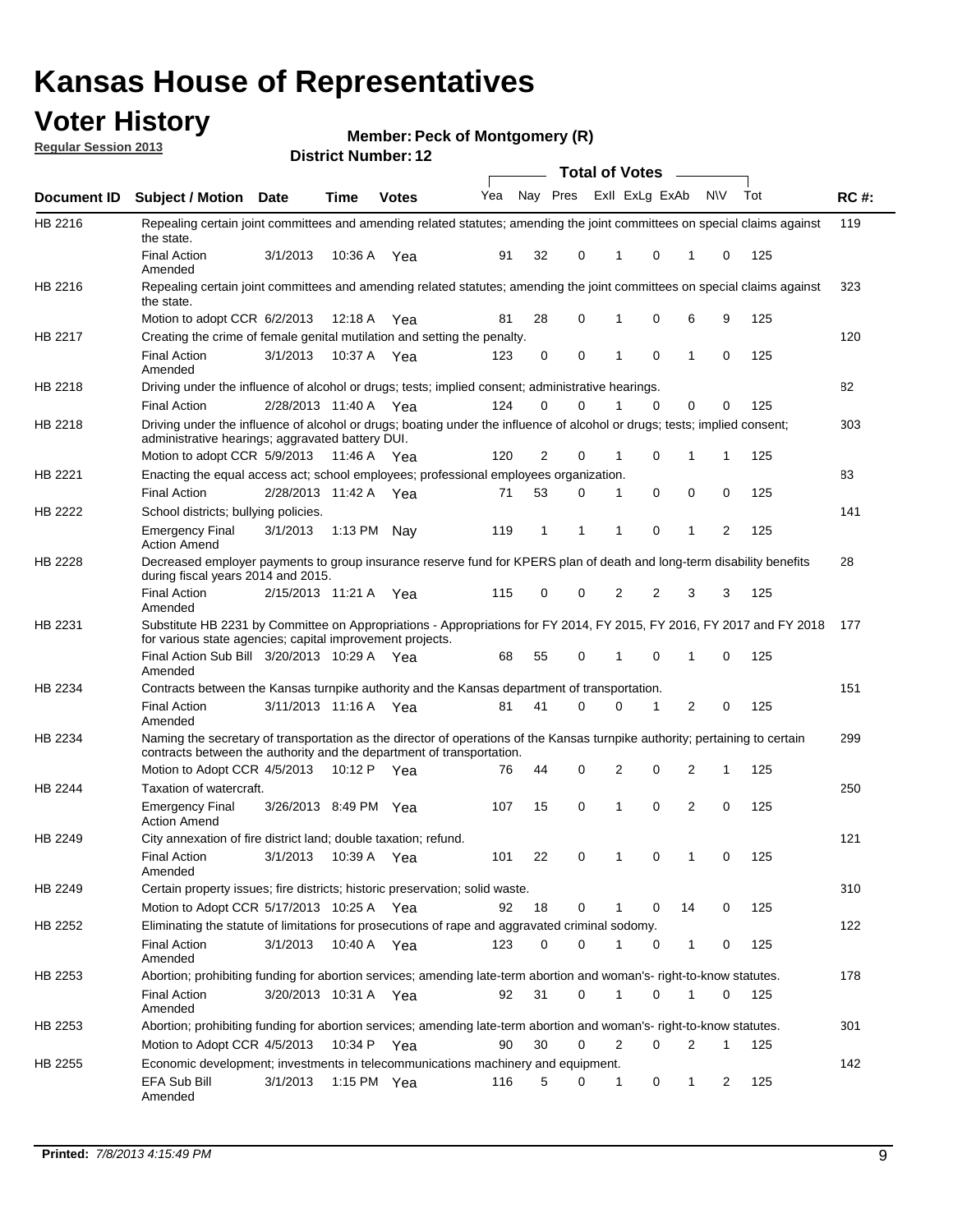## **Voter History**

**Member: Peck of Montgomery (R)** 

**Regular Session 2013**

|             |                                                                                                                                                                                                       |                       |             | DISTRICT NUMBER: 12 |     |          |             |                | Total of Votes – |                |           |     |             |
|-------------|-------------------------------------------------------------------------------------------------------------------------------------------------------------------------------------------------------|-----------------------|-------------|---------------------|-----|----------|-------------|----------------|------------------|----------------|-----------|-----|-------------|
| Document ID | <b>Subject / Motion</b>                                                                                                                                                                               | <b>Date</b>           | <b>Time</b> | <b>Votes</b>        | Yea | Nay Pres |             |                | Exll ExLg ExAb   |                | <b>NV</b> | Tot | <b>RC#:</b> |
| HB 2216     | Repealing certain joint committees and amending related statutes; amending the joint committees on special claims against<br>the state.                                                               |                       |             |                     |     |          |             |                |                  |                |           |     | 119         |
|             | <b>Final Action</b><br>Amended                                                                                                                                                                        | 3/1/2013              | 10:36 A     | Yea                 | 91  | 32       | 0           |                | 0<br>1           | 1              | 0         | 125 |             |
| HB 2216     | Repealing certain joint committees and amending related statutes; amending the joint committees on special claims against<br>the state.                                                               |                       |             |                     |     |          |             |                |                  |                |           |     | 323         |
|             | Motion to adopt CCR 6/2/2013                                                                                                                                                                          |                       | 12:18 A     | Yea                 | 81  | 28       | 0           |                | 0                | 6              | 9         | 125 |             |
| HB 2217     | Creating the crime of female genital mutilation and setting the penalty.                                                                                                                              |                       |             |                     |     |          |             |                |                  |                |           |     | 120         |
|             | <b>Final Action</b><br>Amended                                                                                                                                                                        | 3/1/2013              | 10:37 A Yea |                     | 123 | 0        | 0           |                | $\mathbf 0$<br>1 | $\mathbf{1}$   | 0         | 125 |             |
| HB 2218     | Driving under the influence of alcohol or drugs; tests; implied consent; administrative hearings.                                                                                                     |                       |             |                     |     |          |             |                |                  |                |           |     | 82          |
|             | <b>Final Action</b>                                                                                                                                                                                   | 2/28/2013 11:40 A Yea |             |                     | 124 | 0        | $\Omega$    |                | $\Omega$<br>1    | 0              | $\Omega$  | 125 |             |
| HB 2218     | Driving under the influence of alcohol or drugs; boating under the influence of alcohol or drugs; tests; implied consent;<br>administrative hearings; aggravated battery DUI.                         |                       |             |                     |     |          |             |                |                  |                |           |     | 303         |
|             | Motion to adopt CCR 5/9/2013                                                                                                                                                                          |                       | 11:46 A     | Yea                 | 120 | 2        | 0           |                | 0<br>1           | 1              | 1         | 125 |             |
| HB 2221     | Enacting the equal access act; school employees; professional employees organization.                                                                                                                 |                       |             |                     |     |          |             |                |                  |                |           |     | 83          |
|             | <b>Final Action</b>                                                                                                                                                                                   | 2/28/2013 11:42 A     |             | Yea                 | 71  | 53       | 0           |                | 0<br>1           | 0              | 0         | 125 |             |
| HB 2222     | School districts; bullying policies.<br><b>Emergency Final</b>                                                                                                                                        | 3/1/2013              | 1:13 PM     | Nav                 | 119 | 1        | 1           |                | 0<br>1           | $\mathbf{1}$   | 2         | 125 | 141         |
|             | <b>Action Amend</b>                                                                                                                                                                                   |                       |             |                     |     |          |             |                |                  |                |           |     |             |
| HB 2228     | Decreased employer payments to group insurance reserve fund for KPERS plan of death and long-term disability benefits<br>during fiscal years 2014 and 2015.                                           |                       |             |                     |     |          |             |                |                  |                |           |     | 28          |
|             | <b>Final Action</b><br>Amended                                                                                                                                                                        | 2/15/2013 11:21 A     |             | Yea                 | 115 | 0        | 0           |                | 2<br>2           | 3              | 3         | 125 |             |
| HB 2231     | Substitute HB 2231 by Committee on Appropriations - Appropriations for FY 2014, FY 2015, FY 2016, FY 2017 and FY 2018<br>for various state agencies; capital improvement projects.                    |                       |             |                     |     |          |             |                |                  |                |           |     | 177         |
|             | Final Action Sub Bill 3/20/2013 10:29 A Yea<br>Amended                                                                                                                                                |                       |             |                     | 68  | 55       | 0           |                | 0<br>1           | 1              | 0         | 125 |             |
| HB 2234     | Contracts between the Kansas turnpike authority and the Kansas department of transportation.                                                                                                          |                       |             |                     |     |          |             |                |                  |                |           |     | 151         |
|             | <b>Final Action</b><br>Amended                                                                                                                                                                        | 3/11/2013 11:16 A Yea |             |                     | 81  | 41       | $\Omega$    |                | $\Omega$<br>1    | 2              | 0         | 125 |             |
| HB 2234     | Naming the secretary of transportation as the director of operations of the Kansas turnpike authority; pertaining to certain<br>contracts between the authority and the department of transportation. |                       |             |                     |     |          |             |                |                  |                |           |     | 299         |
|             | Motion to Adopt CCR 4/5/2013                                                                                                                                                                          |                       | 10:12 P     | Yea                 | 76  | 44       | 0           |                | 2<br>0           | 2              | 1         | 125 |             |
| HB 2244     | Taxation of watercraft.<br><b>Emergency Final</b>                                                                                                                                                     | 3/26/2013 8:49 PM Yea |             |                     | 107 | 15       | 0           |                | 0<br>1           | $\overline{2}$ | 0         | 125 | 250         |
|             | <b>Action Amend</b>                                                                                                                                                                                   |                       |             |                     |     |          |             |                |                  |                |           |     |             |
| HB 2249     | City annexation of fire district land; double taxation; refund.                                                                                                                                       |                       |             |                     |     |          |             |                |                  |                |           |     | 121         |
|             | <b>Final Action</b><br>Amended                                                                                                                                                                        | 3/1/2013 10:39 A Yea  |             |                     | 101 | 22       | $\mathbf 0$ | $\overline{1}$ | $\mathbf 0$      |                | 0         | 125 |             |
| HB 2249     | Certain property issues; fire districts; historic preservation; solid waste.                                                                                                                          |                       |             |                     |     |          |             |                |                  |                |           |     | 310         |
|             | Motion to Adopt CCR 5/17/2013 10:25 A Yea                                                                                                                                                             |                       |             |                     | 92  | 18       | 0           |                | 0<br>1           | 14             | 0         | 125 |             |
| HB 2252     | Eliminating the statute of limitations for prosecutions of rape and aggravated criminal sodomy.                                                                                                       |                       |             |                     |     |          |             |                |                  |                |           |     | 122         |
|             | <b>Final Action</b><br>Amended                                                                                                                                                                        | 3/1/2013              | 10:40 A Yea |                     | 123 | 0        | 0           |                | 1<br>0           | $\mathbf{1}$   | 0         | 125 |             |
| HB 2253     | Abortion; prohibiting funding for abortion services; amending late-term abortion and woman's- right-to-know statutes.                                                                                 |                       |             |                     |     |          |             |                |                  |                |           |     | 178         |
|             | <b>Final Action</b><br>Amended                                                                                                                                                                        | 3/20/2013 10:31 A Yea |             |                     | 92  | 31       | 0           |                | 0<br>1           | 1              | 0         | 125 |             |
| HB 2253     | Abortion; prohibiting funding for abortion services; amending late-term abortion and woman's- right-to-know statutes.                                                                                 |                       |             |                     |     |          |             |                |                  |                |           |     | 301         |
|             | Motion to Adopt CCR 4/5/2013                                                                                                                                                                          |                       | 10:34 P     | Yea                 | 90  | 30       | 0           |                | 2<br>0           | 2              | 1         | 125 |             |
| HB 2255     | Economic development; investments in telecommunications machinery and equipment.                                                                                                                      |                       |             |                     |     |          |             |                |                  |                |           |     | 142         |
|             | EFA Sub Bill<br>Amended                                                                                                                                                                               | 3/1/2013              |             | 1:15 PM $Yea$       | 116 | 5        | 0           |                | 0<br>1           | 1              | 2         | 125 |             |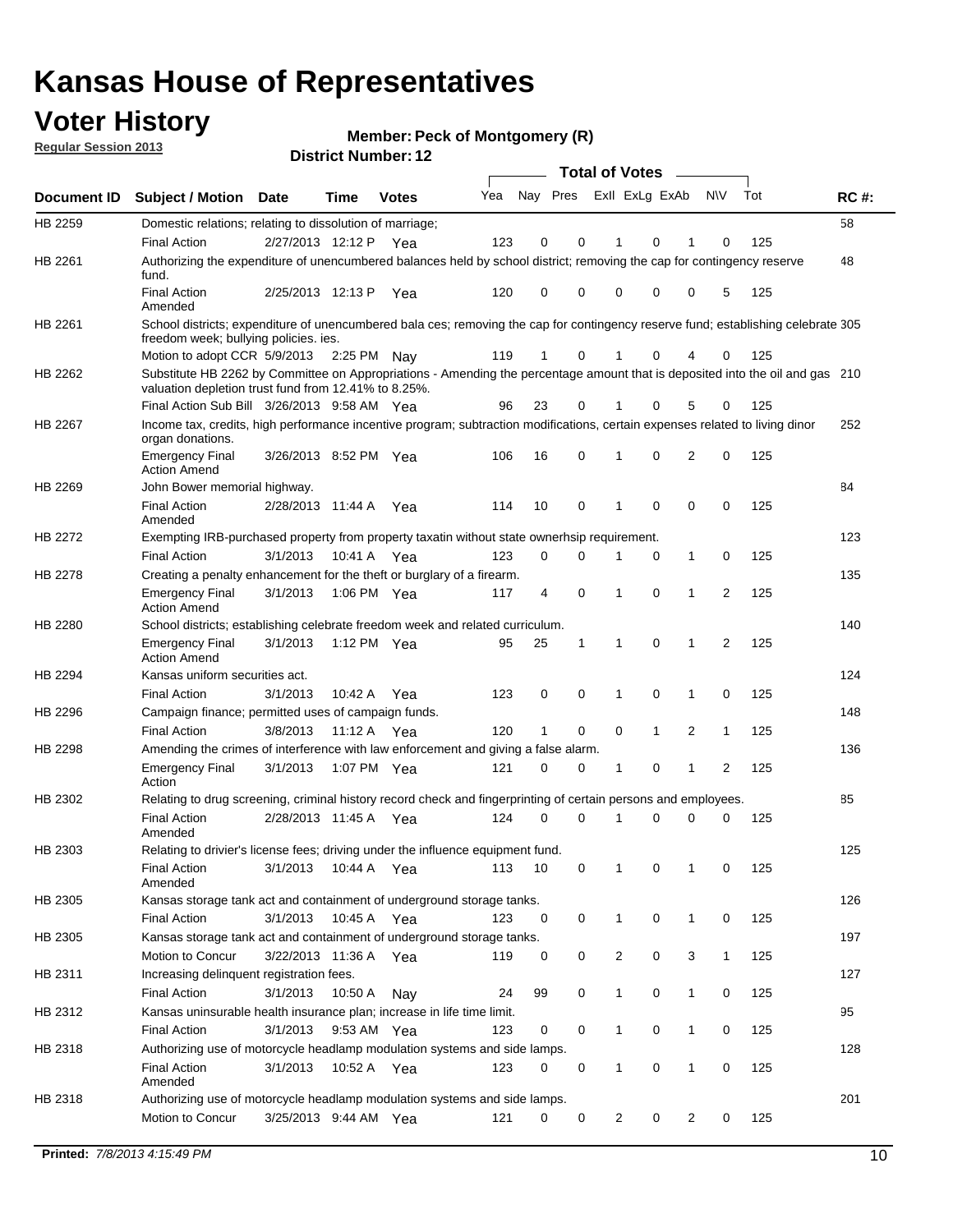## **Voter History**

**Member: Peck of Montgomery (R)** 

**Regular Session 2013**

|                    |                                                                                                                                                                                       |                       | ו הסעוווטנו ועווווטכו |              |     |          |          | <b>Total of Votes</b> |              | $\sim$       |                |     |     |
|--------------------|---------------------------------------------------------------------------------------------------------------------------------------------------------------------------------------|-----------------------|-----------------------|--------------|-----|----------|----------|-----------------------|--------------|--------------|----------------|-----|-----|
| <b>Document ID</b> | <b>Subject / Motion Date</b>                                                                                                                                                          |                       | <b>Time</b>           | <b>Votes</b> | Yea | Nay Pres |          | Exll ExLg ExAb        |              |              | <b>NV</b>      | Tot | RC# |
| HB 2259            | Domestic relations; relating to dissolution of marriage;                                                                                                                              |                       |                       |              |     |          |          |                       |              |              |                |     | 58  |
|                    | <b>Final Action</b>                                                                                                                                                                   | 2/27/2013 12:12 P     |                       | Yea          | 123 | 0        | 0        | 1                     | 0            | 1            | 0              | 125 |     |
| HB 2261            | Authorizing the expenditure of unencumbered balances held by school district; removing the cap for contingency reserve<br>fund.                                                       |                       |                       |              |     |          |          |                       |              |              |                |     | 48  |
|                    | <b>Final Action</b><br>Amended                                                                                                                                                        | 2/25/2013 12:13 P     |                       | Yea          | 120 | 0        | 0        | 0                     | 0            | 0            | 5              | 125 |     |
| HB 2261            | School districts; expenditure of unencumbered bala ces; removing the cap for contingency reserve fund; establishing celebrate 305<br>freedom week; bullying policies. ies.            |                       |                       |              |     |          |          |                       |              |              |                |     |     |
|                    | Motion to adopt CCR 5/9/2013                                                                                                                                                          |                       | 2:25 PM Nav           |              | 119 | 1        | 0        | 1                     | 0            | 4            | 0              | 125 |     |
| HB 2262            | Substitute HB 2262 by Committee on Appropriations - Amending the percentage amount that is deposited into the oil and gas 210<br>valuation depletion trust fund from 12.41% to 8.25%. |                       |                       |              |     |          |          |                       |              |              |                |     |     |
|                    | Final Action Sub Bill 3/26/2013 9:58 AM Yea                                                                                                                                           |                       |                       |              | 96  | 23       | 0        |                       | 0            | 5            | 0              | 125 |     |
| HB 2267            | Income tax, credits, high performance incentive program; subtraction modifications, certain expenses related to living dinor<br>organ donations.                                      |                       |                       |              |     |          |          |                       |              |              |                |     | 252 |
|                    | <b>Emergency Final</b><br><b>Action Amend</b>                                                                                                                                         | 3/26/2013 8:52 PM Yea |                       |              | 106 | 16       | 0        | 1                     | 0            | 2            | 0              | 125 |     |
| HB 2269            | John Bower memorial highway.                                                                                                                                                          |                       |                       |              |     |          |          |                       |              |              |                |     | 84  |
|                    | <b>Final Action</b><br>Amended                                                                                                                                                        | 2/28/2013 11:44 A     |                       | Yea          | 114 | 10       | 0        | 1                     | 0            | 0            | 0              | 125 |     |
| <b>HB 2272</b>     | Exempting IRB-purchased property from property taxatin without state ownerhsip requirement.                                                                                           |                       |                       |              |     |          |          |                       |              |              |                |     | 123 |
|                    | <b>Final Action</b>                                                                                                                                                                   | 3/1/2013              | 10:41 A               | Yea          | 123 | 0        | 0        | 1                     | 0            | $\mathbf{1}$ | 0              | 125 |     |
| HB 2278            | Creating a penalty enhancement for the theft or burglary of a firearm.                                                                                                                |                       |                       |              |     |          |          |                       |              |              |                |     | 135 |
|                    | <b>Emergency Final</b><br><b>Action Amend</b>                                                                                                                                         | 3/1/2013              | 1:06 PM Yea           |              | 117 | 4        | 0        | 1                     | $\Omega$     | 1            | $\overline{2}$ | 125 |     |
| HB 2280            | School districts; establishing celebrate freedom week and related curriculum.                                                                                                         |                       |                       |              |     |          |          |                       |              |              |                |     | 140 |
|                    | <b>Emergency Final</b><br><b>Action Amend</b>                                                                                                                                         | 3/1/2013              | 1:12 PM Yea           |              | 95  | 25       | 1        | 1                     | 0            | 1            | 2              | 125 |     |
| HB 2294            | Kansas uniform securities act.                                                                                                                                                        |                       |                       |              |     |          |          |                       |              |              |                |     | 124 |
|                    | <b>Final Action</b>                                                                                                                                                                   | 3/1/2013              | 10:42 A               | Yea          | 123 | 0        | 0        | 1                     | 0            | 1            | 0              | 125 |     |
| HB 2296            | Campaign finance; permitted uses of campaign funds.                                                                                                                                   |                       |                       |              |     |          |          |                       |              |              |                |     | 148 |
|                    | <b>Final Action</b>                                                                                                                                                                   | 3/8/2013              | 11:12 A Yea           |              | 120 | 1        | 0        | 0                     | $\mathbf{1}$ | 2            | $\mathbf{1}$   | 125 |     |
| HB 2298            | Amending the crimes of interference with law enforcement and giving a false alarm.                                                                                                    |                       |                       |              |     |          |          |                       |              |              |                |     | 136 |
|                    | <b>Emergency Final</b><br>Action                                                                                                                                                      | 3/1/2013              | 1:07 PM Yea           |              | 121 | 0        | 0        | 1                     | 0            | 1            | 2              | 125 |     |
| HB 2302            | Relating to drug screening, criminal history record check and fingerprinting of certain persons and employees.                                                                        |                       |                       |              |     |          |          |                       |              |              |                |     | 85  |
|                    | <b>Final Action</b><br>Amended                                                                                                                                                        | 2/28/2013 11:45 A     |                       | Yea          | 124 | 0        | $\Omega$ | 1                     | 0            | 0            | 0              | 125 |     |
| HB 2303            | Relating to drivier's license fees; driving under the influence equipment fund.                                                                                                       |                       |                       |              |     |          |          |                       |              |              |                |     | 125 |
|                    | <b>Final Action</b><br>Amended                                                                                                                                                        | 3/1/2013              | 10:44 A               | Yea          | 113 | 10       | 0        | 1                     | 0            | 1            | 0              | 125 |     |
| HB 2305            | Kansas storage tank act and containment of underground storage tanks.                                                                                                                 |                       |                       |              |     |          |          |                       |              |              |                |     | 126 |
|                    | Final Action                                                                                                                                                                          | 3/1/2013              | 10:45 A               | Yea          | 123 | 0        | 0        | 1                     | 0            | 1            | 0              | 125 |     |
| HB 2305            | Kansas storage tank act and containment of underground storage tanks.                                                                                                                 |                       |                       |              |     |          |          |                       |              |              |                |     | 197 |
|                    | Motion to Concur                                                                                                                                                                      | 3/22/2013 11:36 A     |                       | Yea          | 119 | 0        | 0        | $\overline{c}$        | 0            | 3            | $\mathbf{1}$   | 125 |     |
| HB 2311            | Increasing delinquent registration fees.                                                                                                                                              |                       |                       |              |     |          |          |                       |              |              |                |     | 127 |
|                    | <b>Final Action</b>                                                                                                                                                                   | 3/1/2013              | 10:50 A               | Nay          | 24  | 99       | 0        | 1                     | 0            | $\mathbf{1}$ | 0              | 125 |     |
| HB 2312            | Kansas uninsurable health insurance plan; increase in life time limit.                                                                                                                |                       |                       |              |     |          |          |                       |              |              |                |     | 95  |
|                    | <b>Final Action</b>                                                                                                                                                                   | 3/1/2013              | 9:53 AM Yea           |              | 123 | 0        | 0        |                       | 0            | 1            | 0              | 125 |     |
| HB 2318            | Authorizing use of motorcycle headlamp modulation systems and side lamps.                                                                                                             |                       |                       |              |     |          |          |                       |              |              |                |     | 128 |
|                    | <b>Final Action</b><br>Amended                                                                                                                                                        | 3/1/2013              | 10:52 A               | Yea          | 123 | 0        | 0        | 1                     | 0            | 1            | 0              | 125 |     |
| HB 2318            | Authorizing use of motorcycle headlamp modulation systems and side lamps.                                                                                                             |                       |                       |              |     |          |          |                       |              |              |                |     | 201 |
|                    | Motion to Concur                                                                                                                                                                      | 3/25/2013 9:44 AM Yea |                       |              | 121 | 0        | 0        | 2                     | 0            | 2            | 0              | 125 |     |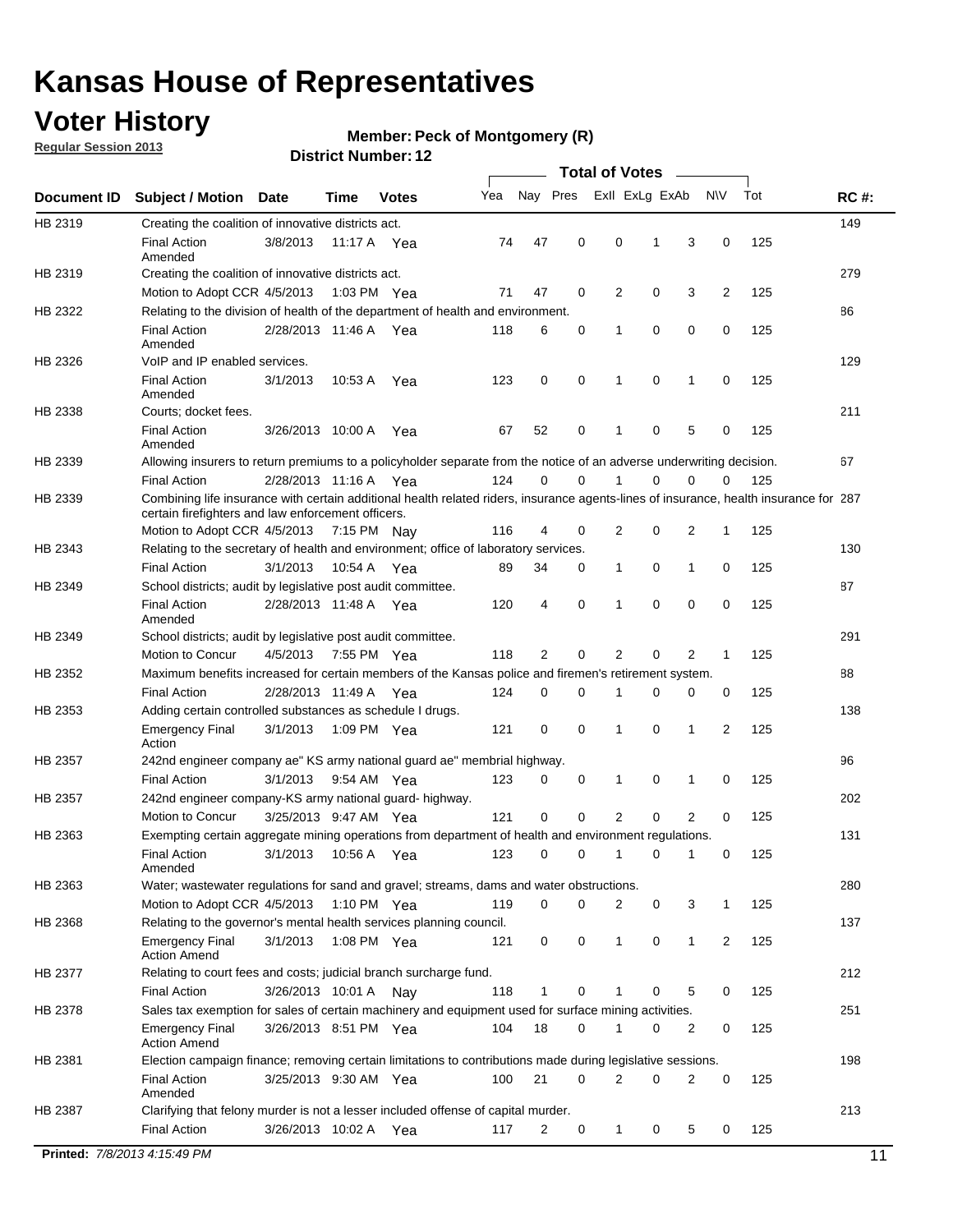## **Voter History**

**Member: Peck of Montgomery (R)** 

**Regular Session 2013**

|             |                                                                                                                                                                                             |                       |             |               |     |             |             | <b>Total of Votes</b> |   |              |                |     |             |
|-------------|---------------------------------------------------------------------------------------------------------------------------------------------------------------------------------------------|-----------------------|-------------|---------------|-----|-------------|-------------|-----------------------|---|--------------|----------------|-----|-------------|
| Document ID | <b>Subject / Motion</b>                                                                                                                                                                     | <b>Date</b>           | Time        | <b>Votes</b>  | Yea | Nay Pres    |             | Exll ExLg ExAb        |   |              | <b>NV</b>      | Tot | <b>RC#:</b> |
| HB 2319     | Creating the coalition of innovative districts act.                                                                                                                                         |                       |             |               |     |             |             |                       |   |              |                |     | 149         |
|             | <b>Final Action</b><br>Amended                                                                                                                                                              | 3/8/2013              | 11:17 A     | Yea           | 74  | 47          | 0           | 0                     | 1 | 3            | 0              | 125 |             |
| HB 2319     | Creating the coalition of innovative districts act.                                                                                                                                         |                       |             |               |     |             |             |                       |   |              |                |     | 279         |
|             | Motion to Adopt CCR 4/5/2013                                                                                                                                                                |                       |             | 1:03 PM Yea   | 71  | 47          | 0           | 2                     | 0 | 3            | $\overline{2}$ | 125 |             |
| HB 2322     | Relating to the division of health of the department of health and environment.                                                                                                             |                       |             |               |     |             |             |                       |   |              |                |     | 86          |
|             | <b>Final Action</b><br>Amended                                                                                                                                                              | 2/28/2013 11:46 A Yea |             |               | 118 | 6           | 0           | 1                     | 0 | 0            | 0              | 125 |             |
| HB 2326     | VoIP and IP enabled services.                                                                                                                                                               |                       |             |               |     |             |             |                       |   |              |                |     | 129         |
|             | <b>Final Action</b><br>Amended                                                                                                                                                              | 3/1/2013              | 10.53 A     | Yea           | 123 | 0           | 0           | 1                     | 0 | 1            | 0              | 125 |             |
| HB 2338     | Courts; docket fees.                                                                                                                                                                        |                       |             |               |     |             |             |                       |   |              |                |     | 211         |
|             | <b>Final Action</b><br>Amended                                                                                                                                                              | 3/26/2013 10:00 A     |             | Yea           | 67  | 52          | 0           | 1                     | 0 | 5            | 0              | 125 |             |
| HB 2339     | Allowing insurers to return premiums to a policyholder separate from the notice of an adverse underwriting decision.                                                                        |                       |             |               |     |             |             |                       |   |              |                |     | 67          |
|             | <b>Final Action</b>                                                                                                                                                                         | 2/28/2013 11:16 A Yea |             |               | 124 | 0           | 0           | 1                     | 0 | 0            | 0              | 125 |             |
| HB 2339     | Combining life insurance with certain additional health related riders, insurance agents-lines of insurance, health insurance for 287<br>certain firefighters and law enforcement officers. |                       |             |               |     |             |             |                       |   |              |                |     |             |
|             | Motion to Adopt CCR 4/5/2013 7:15 PM Nay                                                                                                                                                    |                       |             |               | 116 | 4           | 0           | 2                     | 0 | 2            | 1              | 125 |             |
| HB 2343     | Relating to the secretary of health and environment; office of laboratory services.                                                                                                         |                       |             |               |     |             |             |                       |   |              |                |     | 130         |
|             | <b>Final Action</b>                                                                                                                                                                         | 3/1/2013              | 10:54 A Yea |               | 89  | 34          | 0           | 1                     | 0 | 1            | 0              | 125 |             |
| HB 2349     | School districts; audit by legislative post audit committee.                                                                                                                                |                       |             |               |     |             |             |                       |   |              |                |     | 87          |
|             | <b>Final Action</b><br>Amended                                                                                                                                                              | 2/28/2013 11:48 A Yea |             |               | 120 | 4           | $\mathbf 0$ | 1                     | 0 | 0            | 0              | 125 |             |
| HB 2349     | School districts; audit by legislative post audit committee.                                                                                                                                |                       |             |               |     |             |             |                       |   |              |                |     | 291         |
|             | Motion to Concur                                                                                                                                                                            | 4/5/2013              | 7:55 PM Yea |               | 118 | 2           | 0           | 2                     | 0 | 2            | 1              | 125 |             |
| HB 2352     | Maximum benefits increased for certain members of the Kansas police and firemen's retirement system.                                                                                        |                       |             |               |     |             |             |                       |   |              |                |     | 88          |
|             | <b>Final Action</b>                                                                                                                                                                         | 2/28/2013 11:49 A     |             | Yea           | 124 | 0           | 0           | 1                     | 0 | 0            | 0              | 125 |             |
| HB 2353     | Adding certain controlled substances as schedule I drugs.                                                                                                                                   |                       |             |               |     |             |             |                       |   |              |                |     | 138         |
|             | <b>Emergency Final</b><br>Action                                                                                                                                                            | 3/1/2013              |             | 1:09 PM Yea   | 121 | 0           | $\mathbf 0$ | 1                     | 0 | 1            | 2              | 125 |             |
| HB 2357     | 242nd engineer company ae" KS army national guard ae" membrial highway.                                                                                                                     |                       |             |               |     |             |             |                       |   |              |                |     | 96          |
|             | <b>Final Action</b>                                                                                                                                                                         | 3/1/2013              |             | 9:54 AM Yea   | 123 | 0           | 0           | 1                     | 0 | 1            | 0              | 125 |             |
| HB 2357     | 242nd engineer company-KS army national guard- highway.                                                                                                                                     |                       |             |               |     |             |             |                       |   |              |                |     | 202         |
|             | <b>Motion to Concur</b>                                                                                                                                                                     | 3/25/2013 9:47 AM Yea |             |               | 121 | $\mathbf 0$ | $\mathbf 0$ | $\overline{2}$        | 0 | 2            | 0              | 125 |             |
| HB 2363     | Exempting certain aggregate mining operations from department of health and environment regulations.                                                                                        |                       |             |               |     |             |             |                       |   |              |                |     | 131         |
|             | <b>Final Action</b><br>Amended                                                                                                                                                              | 3/1/2013              | 10:56 A     | Yea           | 123 | 0           | 0           | 1                     | 0 | 1            | 0              | 125 |             |
| HB 2363     | Water; wastewater regulations for sand and gravel; streams, dams and water obstructions.                                                                                                    |                       |             |               |     |             |             |                       |   |              |                |     | 280         |
|             | Motion to Adopt CCR 4/5/2013                                                                                                                                                                |                       |             | 1:10 PM $Yea$ | 119 | 0           | 0           | 2                     | 0 | 3            | 1              | 125 |             |
| HB 2368     | Relating to the governor's mental health services planning council.                                                                                                                         |                       |             |               |     |             |             |                       |   |              |                |     | 137         |
|             | Emergency Final<br><b>Action Amend</b>                                                                                                                                                      | 3/1/2013              |             | 1:08 PM Yea   | 121 | 0           | 0           | 1                     | 0 | $\mathbf{1}$ | 2              | 125 |             |
| HB 2377     | Relating to court fees and costs; judicial branch surcharge fund.                                                                                                                           |                       |             |               |     |             |             |                       |   |              |                |     | 212         |
|             | <b>Final Action</b>                                                                                                                                                                         | 3/26/2013 10:01 A Nay |             |               | 118 | 1           | 0           |                       | 0 | 5            | 0              | 125 |             |
| HB 2378     | Sales tax exemption for sales of certain machinery and equipment used for surface mining activities.                                                                                        |                       |             |               |     |             |             |                       |   |              |                |     | 251         |
|             | <b>Emergency Final</b><br><b>Action Amend</b>                                                                                                                                               | 3/26/2013 8:51 PM Yea |             |               | 104 | 18          | 0           | 1                     | 0 | 2            | 0              | 125 |             |
| HB 2381     | Election campaign finance; removing certain limitations to contributions made during legislative sessions.                                                                                  |                       |             |               |     |             |             |                       |   |              |                |     | 198         |
|             | <b>Final Action</b>                                                                                                                                                                         | 3/25/2013 9:30 AM Yea |             |               | 100 | 21          | $\mathbf 0$ | 2                     | 0 | 2            | 0              | 125 |             |
|             | Amended                                                                                                                                                                                     |                       |             |               |     |             |             |                       |   |              |                |     |             |
| HB 2387     | Clarifying that felony murder is not a lesser included offense of capital murder.                                                                                                           |                       |             |               |     |             |             |                       |   |              |                |     | 213         |
|             | <b>Final Action</b>                                                                                                                                                                         | 3/26/2013 10:02 A     |             | Yea           | 117 | 2           | 0           | $\mathbf{1}$          | 0 | 5            | 0              | 125 |             |
|             |                                                                                                                                                                                             |                       |             |               |     |             |             |                       |   |              |                |     |             |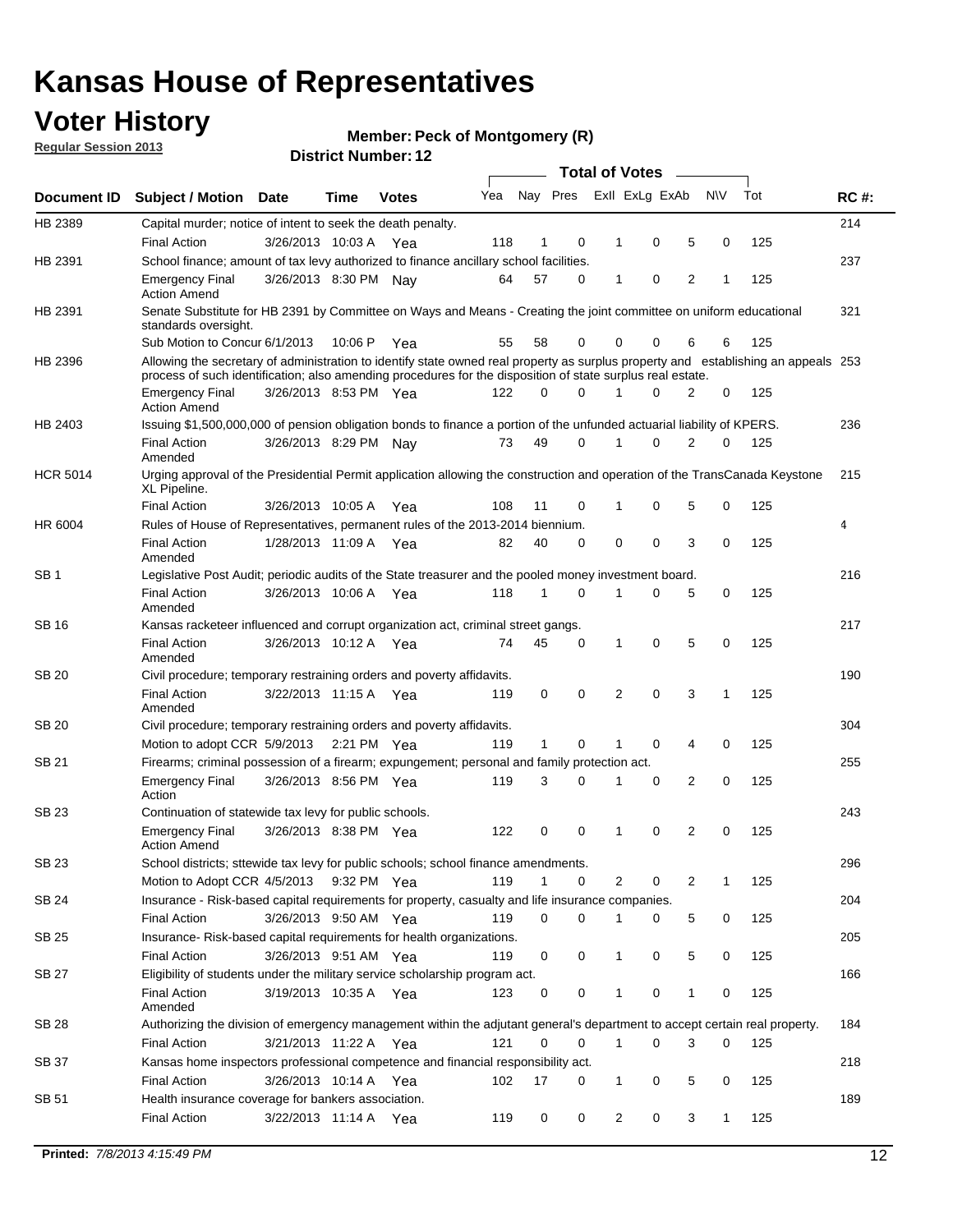## **Voter History**

**Member: Peck of Montgomery (R)** 

**Regular Session 2013**

|                 |                                                                                                                                                                                                                                                  |                       |             |              |     |              |          | <b>Total of Votes</b> |   |   |              |     |             |
|-----------------|--------------------------------------------------------------------------------------------------------------------------------------------------------------------------------------------------------------------------------------------------|-----------------------|-------------|--------------|-----|--------------|----------|-----------------------|---|---|--------------|-----|-------------|
| Document ID     | Subject / Motion Date                                                                                                                                                                                                                            |                       | Time        | <b>Votes</b> | Yea | Nay Pres     |          | Exll ExLg ExAb        |   |   | <b>NV</b>    | Tot | <b>RC#:</b> |
| HB 2389         | Capital murder; notice of intent to seek the death penalty.                                                                                                                                                                                      |                       |             |              |     |              |          |                       |   |   |              |     | 214         |
|                 | <b>Final Action</b>                                                                                                                                                                                                                              | 3/26/2013 10:03 A     |             | Yea          | 118 | 1            | 0        | 1                     | 0 | 5 | 0            | 125 |             |
| HB 2391         | School finance; amount of tax levy authorized to finance ancillary school facilities.                                                                                                                                                            |                       |             |              |     |              |          |                       |   |   |              |     | 237         |
|                 | <b>Emergency Final</b><br><b>Action Amend</b>                                                                                                                                                                                                    | 3/26/2013 8:30 PM Nav |             |              | 64  | 57           | 0        | $\mathbf{1}$          | 0 | 2 | 1            | 125 |             |
| HB 2391         | Senate Substitute for HB 2391 by Committee on Ways and Means - Creating the joint committee on uniform educational<br>standards oversight.                                                                                                       |                       |             |              |     |              |          |                       |   |   |              |     | 321         |
|                 | Sub Motion to Concur 6/1/2013                                                                                                                                                                                                                    |                       | 10:06 P     | Yea          | 55  | 58           | 0        | 0                     | 0 | 6 | 6            | 125 |             |
| HB 2396         | Allowing the secretary of administration to identify state owned real property as surplus property and establishing an appeals 253<br>process of such identification; also amending procedures for the disposition of state surplus real estate. |                       |             |              |     |              |          |                       |   |   |              |     |             |
|                 | <b>Emergency Final</b><br>Action Amend                                                                                                                                                                                                           | 3/26/2013 8:53 PM Yea |             |              | 122 | 0            | 0        |                       | 0 | 2 | 0            | 125 |             |
| HB 2403         | Issuing \$1,500,000,000 of pension obligation bonds to finance a portion of the unfunded actuarial liability of KPERS.                                                                                                                           |                       |             |              |     |              |          |                       |   |   |              |     | 236         |
|                 | <b>Final Action</b><br>Amended                                                                                                                                                                                                                   | 3/26/2013 8:29 PM Nay |             |              | 73  | 49           | 0        | 1                     | 0 | 2 | 0            | 125 |             |
| <b>HCR 5014</b> | Urging approval of the Presidential Permit application allowing the construction and operation of the TransCanada Keystone<br>XL Pipeline.                                                                                                       |                       |             |              |     |              |          |                       |   |   |              |     | 215         |
|                 | <b>Final Action</b>                                                                                                                                                                                                                              | 3/26/2013 10:05 A     |             | Yea          | 108 | 11           | 0        |                       | 0 | 5 | 0            | 125 |             |
| HR 6004         | Rules of House of Representatives, permanent rules of the 2013-2014 biennium.                                                                                                                                                                    |                       |             |              |     |              |          |                       |   |   |              |     | 4           |
|                 | <b>Final Action</b><br>Amended                                                                                                                                                                                                                   | 1/28/2013 11:09 A     |             | Yea          | 82  | 40           | 0        | 0                     | 0 | 3 | 0            | 125 |             |
| SB 1            | Legislative Post Audit; periodic audits of the State treasurer and the pooled money investment board.                                                                                                                                            |                       |             |              |     |              |          |                       |   |   |              |     | 216         |
|                 | <b>Final Action</b><br>Amended                                                                                                                                                                                                                   | 3/26/2013 10:06 A     |             | Yea          | 118 | 1            | 0        | 1                     | 0 | 5 | 0            | 125 |             |
| SB 16           | Kansas racketeer influenced and corrupt organization act, criminal street gangs.                                                                                                                                                                 |                       |             |              |     |              |          |                       |   |   |              |     | 217         |
|                 | <b>Final Action</b><br>Amended                                                                                                                                                                                                                   | 3/26/2013 10:12 A Yea |             |              | 74  | 45           | 0        | 1                     | 0 | 5 | 0            | 125 |             |
| SB 20           | Civil procedure; temporary restraining orders and poverty affidavits.                                                                                                                                                                            |                       |             |              |     |              |          |                       |   |   |              |     | 190         |
|                 | <b>Final Action</b><br>Amended                                                                                                                                                                                                                   | 3/22/2013 11:15 A     |             | Yea          | 119 | 0            | 0        | 2                     | 0 | 3 | 1            | 125 |             |
| SB 20           | Civil procedure; temporary restraining orders and poverty affidavits.                                                                                                                                                                            |                       |             |              |     |              |          |                       |   |   |              |     | 304         |
|                 | Motion to adopt CCR 5/9/2013                                                                                                                                                                                                                     |                       | 2:21 PM Yea |              | 119 | $\mathbf{1}$ | 0        | 1                     | 0 | 4 | 0            | 125 |             |
| SB 21           | Firearms; criminal possession of a firearm; expungement; personal and family protection act.                                                                                                                                                     |                       |             |              |     |              |          |                       |   |   |              |     | 255         |
|                 | <b>Emergency Final</b><br>Action                                                                                                                                                                                                                 | 3/26/2013 8:56 PM Yea |             |              | 119 | 3            | 0        |                       | 0 | 2 | 0            | 125 |             |
| SB 23           | Continuation of statewide tax levy for public schools.                                                                                                                                                                                           |                       |             |              |     |              |          |                       |   |   |              |     | 243         |
|                 | <b>Emergency Final</b><br><b>Action Amend</b>                                                                                                                                                                                                    | 3/26/2013 8:38 PM Yea |             |              | 122 | 0            | 0        | 1                     | 0 | 2 | 0            | 125 |             |
| <b>SB 23</b>    | School districts; sttewide tax levy for public schools; school finance amendments.                                                                                                                                                               |                       |             |              |     |              |          |                       |   |   |              |     | 296         |
|                 | Motion to Adopt CCR 4/5/2013 9:32 PM Yea                                                                                                                                                                                                         |                       |             |              | 119 | 1            | 0        | 2                     | 0 | 2 | 1            | 125 |             |
| <b>SB 24</b>    | Insurance - Risk-based capital requirements for property, casualty and life insurance companies.                                                                                                                                                 |                       |             |              |     |              |          |                       |   |   |              |     | 204         |
|                 | <b>Final Action</b>                                                                                                                                                                                                                              | 3/26/2013 9:50 AM Yea |             |              | 119 | 0            | 0        |                       | 0 | 5 | 0            | 125 |             |
| SB 25           | Insurance-Risk-based capital requirements for health organizations.                                                                                                                                                                              |                       |             |              |     |              |          |                       |   |   |              |     | 205         |
|                 | <b>Final Action</b>                                                                                                                                                                                                                              | 3/26/2013 9:51 AM Yea |             |              | 119 | 0            | 0        | 1                     | 0 | 5 | 0            | 125 |             |
| SB 27           | Eligibility of students under the military service scholarship program act.                                                                                                                                                                      |                       |             |              |     |              |          |                       |   |   |              |     | 166         |
|                 | <b>Final Action</b><br>Amended                                                                                                                                                                                                                   | 3/19/2013 10:35 A Yea |             |              | 123 | 0            | 0        |                       | 0 | 1 | 0            | 125 |             |
| SB 28           | Authorizing the division of emergency management within the adjutant general's department to accept certain real property.                                                                                                                       |                       |             |              |     |              |          |                       |   |   |              |     | 184         |
|                 | <b>Final Action</b>                                                                                                                                                                                                                              | 3/21/2013 11:22 A Yea |             |              | 121 | 0            | $\Omega$ | 1                     | 0 | 3 | $\Omega$     | 125 |             |
| SB 37           | Kansas home inspectors professional competence and financial responsibility act.                                                                                                                                                                 |                       |             |              |     |              |          |                       |   |   |              |     | 218         |
|                 | <b>Final Action</b>                                                                                                                                                                                                                              | 3/26/2013 10:14 A Yea |             |              | 102 | 17           | 0        | 1                     | 0 | 5 | 0            | 125 |             |
| SB 51           | Health insurance coverage for bankers association.                                                                                                                                                                                               |                       |             |              |     |              |          |                       |   |   |              |     | 189         |
|                 | <b>Final Action</b>                                                                                                                                                                                                                              | 3/22/2013 11:14 A Yea |             |              | 119 | 0            | 0        | 2                     | 0 | 3 | $\mathbf{1}$ | 125 |             |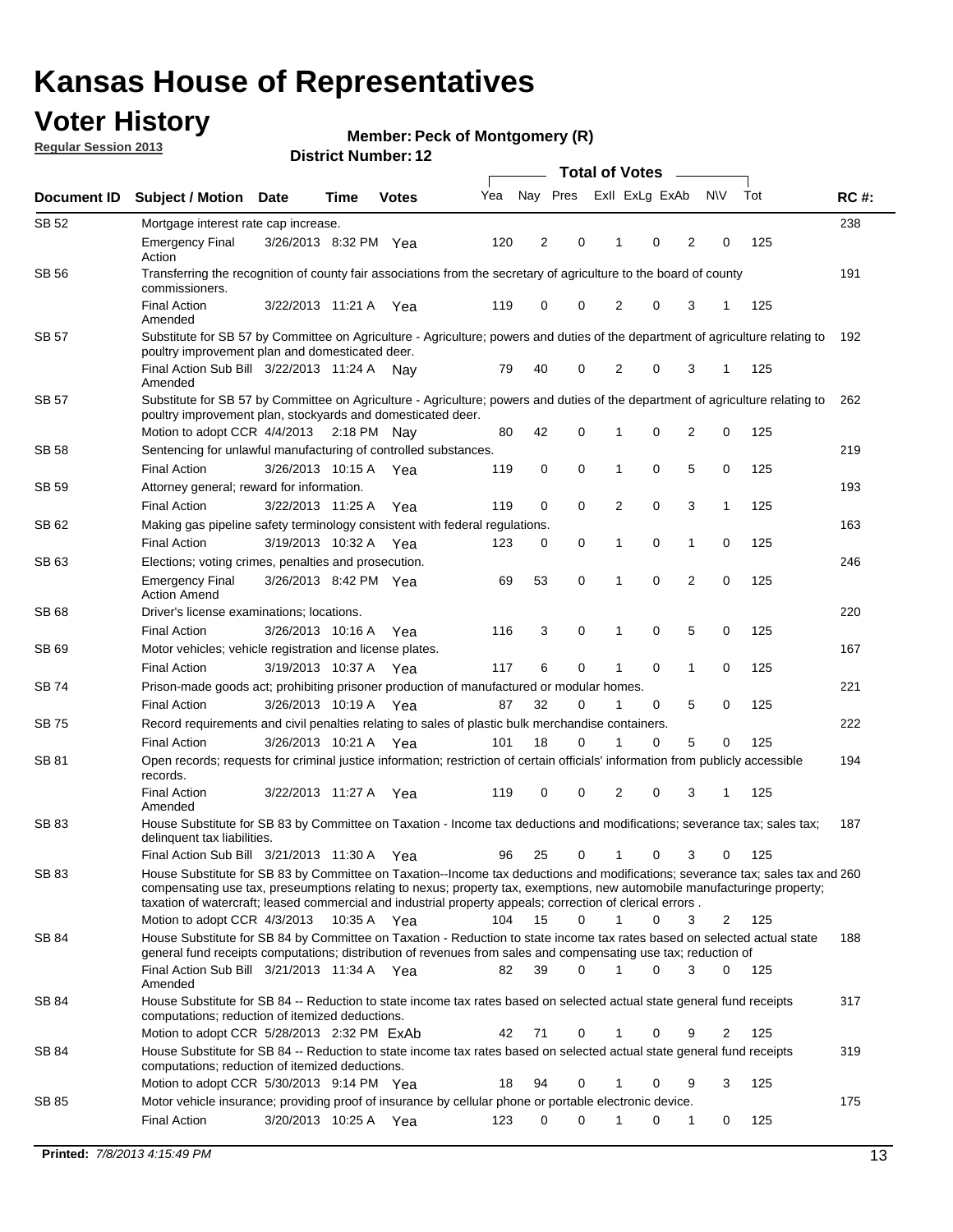## **Voter History**

**Member: Peck of Montgomery (R)** 

**Regular Session 2013**

| Document ID  | <b>Subject / Motion</b>                                                                                                                                                                                                                                                                                                                                                 | <b>Date</b>           | Time        | <b>Votes</b> | Yea | Nay Pres    |          | Exll ExLg ExAb |   |                | <b>NV</b> | Tot | <b>RC#:</b> |
|--------------|-------------------------------------------------------------------------------------------------------------------------------------------------------------------------------------------------------------------------------------------------------------------------------------------------------------------------------------------------------------------------|-----------------------|-------------|--------------|-----|-------------|----------|----------------|---|----------------|-----------|-----|-------------|
| SB 52        | Mortgage interest rate cap increase.                                                                                                                                                                                                                                                                                                                                    |                       |             |              |     |             |          |                |   |                |           |     | 238         |
|              | <b>Emergency Final</b><br>Action                                                                                                                                                                                                                                                                                                                                        | 3/26/2013 8:32 PM Yea |             |              | 120 | 2           | 0        | 1              | 0 | 2              | 0         | 125 |             |
| SB 56        | Transferring the recognition of county fair associations from the secretary of agriculture to the board of county<br>commissioners.                                                                                                                                                                                                                                     |                       |             |              |     |             |          |                |   |                |           |     | 191         |
|              | <b>Final Action</b><br>Amended                                                                                                                                                                                                                                                                                                                                          | 3/22/2013 11:21 A     |             | Yea          | 119 | $\mathbf 0$ | 0        | $\overline{2}$ | 0 | 3              | 1         | 125 |             |
| <b>SB 57</b> | Substitute for SB 57 by Committee on Agriculture - Agriculture; powers and duties of the department of agriculture relating to<br>poultry improvement plan and domesticated deer.                                                                                                                                                                                       |                       |             |              |     |             |          |                |   |                |           |     | 192         |
|              | Final Action Sub Bill 3/22/2013 11:24 A Nav<br>Amended                                                                                                                                                                                                                                                                                                                  |                       |             |              | 79  | 40          | 0        | 2              | 0 | 3              | -1        | 125 |             |
| SB 57        | Substitute for SB 57 by Committee on Agriculture - Agriculture; powers and duties of the department of agriculture relating to<br>poultry improvement plan, stockyards and domesticated deer.                                                                                                                                                                           |                       |             |              |     |             |          |                |   |                |           |     | 262         |
|              | Motion to adopt CCR 4/4/2013 2:18 PM Nay                                                                                                                                                                                                                                                                                                                                |                       |             |              | 80  | 42          | 0        | 1              | 0 | 2              | 0         | 125 |             |
| SB 58        | Sentencing for unlawful manufacturing of controlled substances.                                                                                                                                                                                                                                                                                                         |                       |             |              |     |             |          |                |   |                |           |     | 219         |
| SB 59        | <b>Final Action</b><br>Attorney general; reward for information.                                                                                                                                                                                                                                                                                                        | 3/26/2013 10:15 A     |             | Yea          | 119 | 0           | 0        | 1              | 0 | 5              | 0         | 125 | 193         |
|              | <b>Final Action</b>                                                                                                                                                                                                                                                                                                                                                     | 3/22/2013 11:25 A     |             | Yea          | 119 | $\mathbf 0$ | 0        | 2              | 0 | 3              | 1         | 125 |             |
| SB 62        | Making gas pipeline safety terminology consistent with federal regulations.                                                                                                                                                                                                                                                                                             |                       |             |              |     |             |          |                |   |                |           |     | 163         |
|              | <b>Final Action</b>                                                                                                                                                                                                                                                                                                                                                     | 3/19/2013 10:32 A     |             | Yea          | 123 | 0           | 0        | 1              | 0 | 1              | 0         | 125 |             |
| SB 63        | Elections; voting crimes, penalties and prosecution.                                                                                                                                                                                                                                                                                                                    |                       |             |              |     |             |          |                |   |                |           |     | 246         |
|              | <b>Emergency Final</b><br><b>Action Amend</b>                                                                                                                                                                                                                                                                                                                           | 3/26/2013 8:42 PM Yea |             |              | 69  | 53          | 0        | 1              | 0 | $\overline{2}$ | 0         | 125 |             |
| SB 68        | Driver's license examinations; locations.                                                                                                                                                                                                                                                                                                                               |                       |             |              |     |             |          |                |   |                |           |     | 220         |
|              | <b>Final Action</b>                                                                                                                                                                                                                                                                                                                                                     | 3/26/2013 10:16 A     |             | Yea          | 116 | 3           | 0        | 1              | 0 | 5              | 0         | 125 |             |
| SB 69        | Motor vehicles; vehicle registration and license plates.                                                                                                                                                                                                                                                                                                                |                       |             |              |     |             |          |                |   |                |           |     | 167         |
|              | <b>Final Action</b>                                                                                                                                                                                                                                                                                                                                                     | 3/19/2013 10:37 A     |             | Yea          | 117 | 6           | 0        | 1              | 0 | 1              | 0         | 125 |             |
| SB 74        | Prison-made goods act; prohibiting prisoner production of manufactured or modular homes.                                                                                                                                                                                                                                                                                |                       |             |              |     |             |          |                |   |                |           |     | 221         |
|              | <b>Final Action</b>                                                                                                                                                                                                                                                                                                                                                     | 3/26/2013 10:19 A     |             | Yea          | 87  | 32          | 0        | 1              | 0 | 5              | 0         | 125 |             |
| SB 75        | Record requirements and civil penalties relating to sales of plastic bulk merchandise containers.                                                                                                                                                                                                                                                                       |                       |             |              |     |             |          |                |   |                |           |     | 222         |
|              | <b>Final Action</b>                                                                                                                                                                                                                                                                                                                                                     | 3/26/2013 10:21 A     |             | Yea          | 101 | 18          | 0        | 1              | 0 | 5              | 0         | 125 |             |
| SB 81        | Open records; requests for criminal justice information; restriction of certain officials' information from publicly accessible<br>records.                                                                                                                                                                                                                             |                       |             |              |     |             |          |                |   |                |           |     | 194         |
|              | <b>Final Action</b><br>Amended                                                                                                                                                                                                                                                                                                                                          | 3/22/2013 11:27 A     |             | Yea          | 119 | 0           | 0        | 2              | 0 | 3              | 1         | 125 |             |
| SB 83        | House Substitute for SB 83 by Committee on Taxation - Income tax deductions and modifications; severance tax; sales tax;<br>delinquent tax liabilities.                                                                                                                                                                                                                 |                       |             |              |     |             |          |                |   |                |           |     | 187         |
|              | Final Action Sub Bill 3/21/2013 11:30 A Yea                                                                                                                                                                                                                                                                                                                             |                       |             |              | 96  | 25          | 0        | $\mathbf{1}$   | 0 | 3              | 0         | 125 |             |
| SB 83        | House Substitute for SB 83 by Committee on Taxation--Income tax deductions and modifications; severance tax; sales tax and 260<br>compensating use tax, preseumptions relating to nexus; property tax, exemptions, new automobile manufacturinge property;<br>taxation of watercraft; leased commercial and industrial property appeals; correction of clerical errors. |                       |             |              |     |             |          |                |   |                |           |     |             |
|              | Motion to adopt CCR 4/3/2013                                                                                                                                                                                                                                                                                                                                            |                       | 10:35 A Yea |              | 104 | 15          | $\Omega$ | $\mathbf{1}$   | 0 | 3              | 2         | 125 |             |
| SB 84        | House Substitute for SB 84 by Committee on Taxation - Reduction to state income tax rates based on selected actual state<br>general fund receipts computations; distribution of revenues from sales and compensating use tax; reduction of                                                                                                                              |                       |             |              |     |             |          |                |   |                |           |     | 188         |
|              | Final Action Sub Bill 3/21/2013 11:34 A Yea<br>Amended                                                                                                                                                                                                                                                                                                                  |                       |             |              | 82  | 39          | 0        |                | 0 | 3              | 0         | 125 |             |
| SB 84        | House Substitute for SB 84 -- Reduction to state income tax rates based on selected actual state general fund receipts<br>computations; reduction of itemized deductions.                                                                                                                                                                                               |                       |             |              |     |             |          |                |   |                |           |     | 317         |
|              | Motion to adopt CCR 5/28/2013 2:32 PM ExAb                                                                                                                                                                                                                                                                                                                              |                       |             |              | 42  | 71          | 0        | 1              | 0 | 9              | 2         | 125 |             |
| SB 84        | House Substitute for SB 84 -- Reduction to state income tax rates based on selected actual state general fund receipts<br>computations; reduction of itemized deductions.                                                                                                                                                                                               |                       |             |              |     |             |          |                |   |                |           |     | 319         |
|              | Motion to adopt CCR 5/30/2013 9:14 PM Yea                                                                                                                                                                                                                                                                                                                               |                       |             |              | 18  | 94          | 0        | 1              | 0 | 9              | 3         | 125 |             |
| SB 85        | Motor vehicle insurance; providing proof of insurance by cellular phone or portable electronic device.<br><b>Final Action</b>                                                                                                                                                                                                                                           | 3/20/2013 10:25 A Yea |             |              | 123 | $\Omega$    | 0        | 1              | 0 | 1              | 0         | 125 | 175         |
|              |                                                                                                                                                                                                                                                                                                                                                                         |                       |             |              |     |             |          |                |   |                |           |     |             |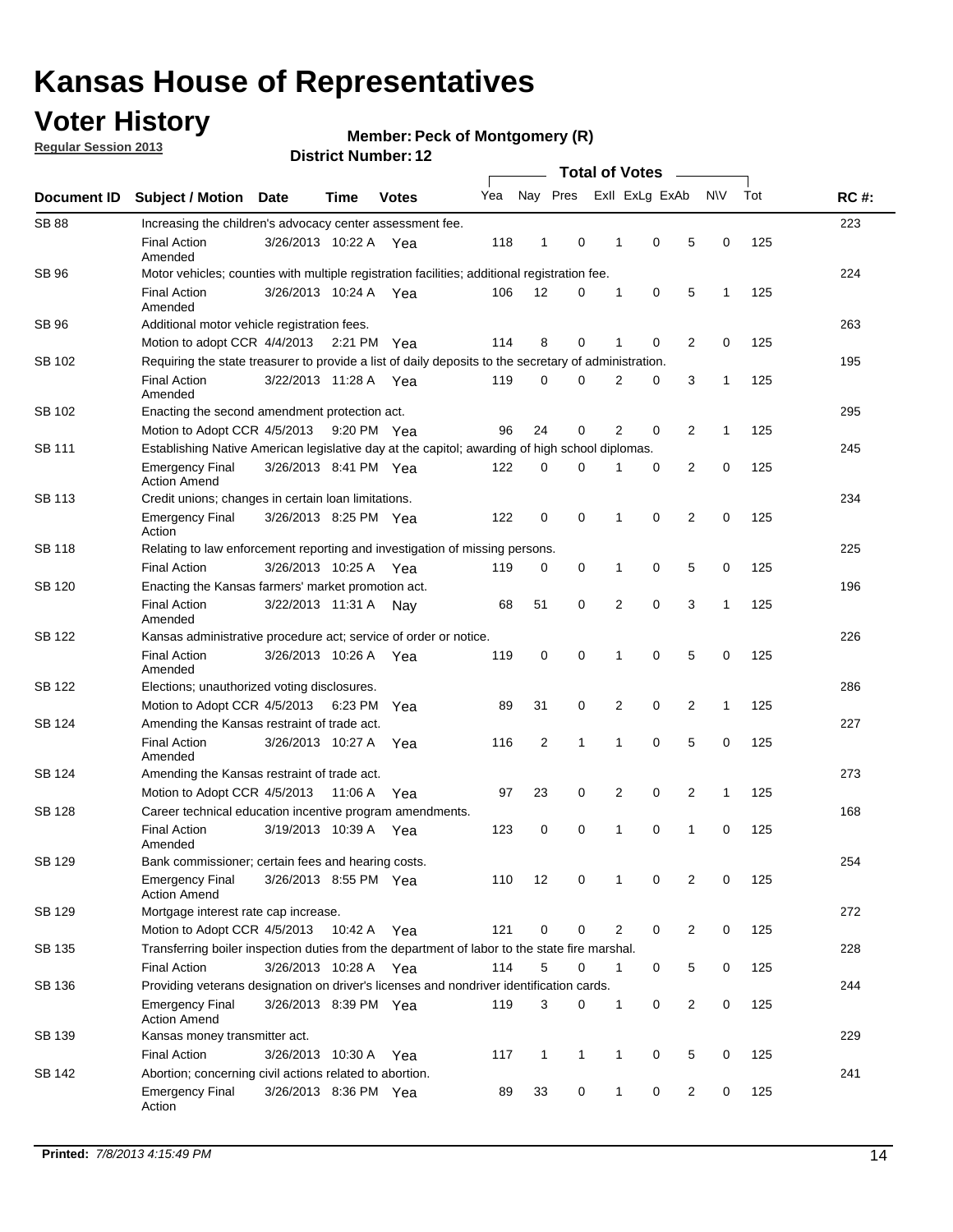## **Voter History**

**Regular Session 2013**

### **Member: Peck of Montgomery (R)**

|                    |                                                                                                       | DISTRICT NUMBER: 12   |             |              |     |                |              |  |                                         |                     |              |     |             |
|--------------------|-------------------------------------------------------------------------------------------------------|-----------------------|-------------|--------------|-----|----------------|--------------|--|-----------------------------------------|---------------------|--------------|-----|-------------|
| <b>Document ID</b> | <b>Subject / Motion</b>                                                                               | <b>Date</b>           | Time        | <b>Votes</b> | Yea |                | Nay Pres     |  | <b>Total of Votes</b><br>Exll ExLg ExAb | $\sim$              | <b>NV</b>    | Tot | <b>RC#:</b> |
| <b>SB 88</b>       | Increasing the children's advocacy center assessment fee.                                             |                       |             |              |     |                |              |  |                                         |                     |              |     | 223         |
|                    | <b>Final Action</b><br>Amended                                                                        | 3/26/2013 10:22 A Yea |             |              | 118 | 1              | 0            |  | 0<br>1                                  | 5                   | 0            | 125 |             |
| <b>SB 96</b>       | Motor vehicles; counties with multiple registration facilities; additional registration fee.          |                       |             |              |     |                |              |  |                                         |                     |              |     | 224         |
|                    | <b>Final Action</b><br>Amended                                                                        | 3/26/2013 10:24 A     |             | Yea          | 106 | 12             | 0            |  | 1<br>0                                  | 5                   | 1            | 125 |             |
| SB 96              | Additional motor vehicle registration fees.                                                           |                       |             |              |     |                |              |  |                                         |                     |              |     | 263         |
|                    | Motion to adopt CCR 4/4/2013                                                                          |                       | 2:21 PM Yea |              | 114 | 8              | $\Omega$     |  | 0<br>1                                  | 2                   | 0            | 125 |             |
| SB 102             | Requiring the state treasurer to provide a list of daily deposits to the secretary of administration. |                       |             |              |     |                |              |  |                                         |                     |              |     | 195         |
|                    | <b>Final Action</b><br>Amended                                                                        | 3/22/2013 11:28 A     |             | Yea          | 119 | 0              | 0            |  | 2<br>0                                  | 3                   | 1            | 125 |             |
| SB 102             | Enacting the second amendment protection act.                                                         |                       |             |              |     |                |              |  |                                         |                     |              |     | 295         |
|                    | Motion to Adopt CCR 4/5/2013                                                                          |                       |             | 9:20 PM Yea  | 96  | 24             | 0            |  | 2<br>0                                  | 2                   | 1            | 125 |             |
| SB 111             | Establishing Native American legislative day at the capitol; awarding of high school diplomas.        |                       |             |              |     |                |              |  |                                         |                     |              |     |             |
|                    | <b>Emergency Final</b><br><b>Action Amend</b>                                                         | 3/26/2013 8:41 PM Yea |             |              | 122 | $\Omega$       | 0            |  | 0                                       | 2                   | 0            | 125 |             |
| SB 113             | Credit unions; changes in certain loan limitations.                                                   |                       |             |              |     |                |              |  |                                         |                     |              |     | 234         |
|                    | <b>Emergency Final</b><br>Action                                                                      | 3/26/2013 8:25 PM Yea |             |              | 122 | 0              | 0            |  | $\mathbf 0$<br>1                        | $\overline{2}$      | $\mathbf 0$  | 125 |             |
| <b>SB 118</b>      | Relating to law enforcement reporting and investigation of missing persons.                           |                       |             |              |     |                |              |  |                                         |                     |              |     | 225         |
|                    | <b>Final Action</b>                                                                                   | 3/26/2013 10:25 A     |             | Yea          | 119 | 0              | 0            |  | 0<br>1                                  | 5                   | 0            | 125 |             |
| SB 120             | Enacting the Kansas farmers' market promotion act.                                                    |                       |             |              |     |                |              |  |                                         |                     |              |     | 196         |
|                    | <b>Final Action</b><br>Amended                                                                        | 3/22/2013 11:31 A     |             | Nav          | 68  | 51             | 0            |  | $\mathbf 0$<br>2                        | 3                   | 1            | 125 |             |
| SB 122             | Kansas administrative procedure act; service of order or notice.                                      |                       |             |              |     |                |              |  |                                         |                     |              |     | 226         |
|                    | <b>Final Action</b><br>Amended                                                                        | 3/26/2013 10:26 A     |             | Yea          | 119 | 0              | 0            |  | 0<br>1                                  | 5                   | 0            | 125 |             |
| SB 122             | Elections; unauthorized voting disclosures.                                                           |                       |             |              |     |                |              |  |                                         |                     |              |     | 286         |
|                    | Motion to Adopt CCR 4/5/2013 6:23 PM                                                                  |                       |             | Yea          | 89  | 31             | 0            |  | 2<br>0                                  | $\overline{2}$      | $\mathbf{1}$ | 125 |             |
| SB 124             | Amending the Kansas restraint of trade act.                                                           |                       |             |              |     |                |              |  |                                         |                     |              |     | 227         |
|                    | <b>Final Action</b><br>Amended                                                                        | 3/26/2013 10:27 A     |             | Yea          | 116 | $\overline{2}$ | 1            |  | 1<br>0                                  | 5                   | 0            | 125 |             |
| SB 124             | Amending the Kansas restraint of trade act.                                                           |                       |             |              |     |                |              |  |                                         |                     |              |     | 273         |
|                    | Motion to Adopt CCR 4/5/2013                                                                          |                       | 11:06 A     | Yea          | 97  | 23             | 0            |  | 2<br>0                                  | $\overline{2}$      | $\mathbf{1}$ | 125 |             |
| SB 128             | Career technical education incentive program amendments.                                              |                       |             |              |     |                |              |  |                                         |                     |              |     | 168         |
|                    | <b>Final Action</b><br>Amended                                                                        | 3/19/2013 10:39 A     |             | Yea          | 123 | 0              | 0            |  | 0<br>1                                  | 1                   | 0            | 125 |             |
| SB 129             | Bank commissioner; certain fees and hearing costs.                                                    |                       |             |              |     |                |              |  |                                         |                     |              |     | 254         |
|                    | <b>Emergency Final</b><br><b>Action Amend</b>                                                         | 3/26/2013 8:55 PM Yea |             |              | 110 | 12             | 0            |  | 0<br>1                                  | 2                   | 0            | 125 |             |
| SB 129             | Mortgage interest rate cap increase.                                                                  |                       |             |              |     |                |              |  |                                         |                     |              |     | 272         |
|                    | Motion to Adopt CCR 4/5/2013                                                                          |                       | 10:42 A Yea |              | 121 | 0              | 0            |  | 2                                       | 0<br>$\overline{2}$ | 0            | 125 |             |
| SB 135             | Transferring boiler inspection duties from the department of labor to the state fire marshal.         |                       |             |              |     |                |              |  |                                         |                     |              |     | 228         |
|                    | <b>Final Action</b>                                                                                   | 3/26/2013 10:28 A Yea |             |              | 114 | 5              | 0            |  | $\mathbf{1}$                            | 5<br>0              | 0            | 125 |             |
| SB 136             | Providing veterans designation on driver's licenses and nondriver identification cards.               |                       |             |              |     |                |              |  |                                         |                     |              |     | 244         |
|                    | Emergency Final<br><b>Action Amend</b>                                                                | 3/26/2013 8:39 PM Yea |             |              | 119 | 3              | 0            |  | $\mathbf{1}$                            | $\overline{2}$<br>0 | 0            | 125 |             |
| SB 139             | Kansas money transmitter act.                                                                         |                       |             |              |     |                |              |  |                                         |                     |              |     | 229         |
|                    | <b>Final Action</b>                                                                                   | 3/26/2013 10:30 A     |             | Yea          | 117 | $\mathbf{1}$   | $\mathbf{1}$ |  | 1<br>0                                  | 5                   | 0            | 125 |             |
| SB 142             | Abortion; concerning civil actions related to abortion.                                               |                       |             |              |     |                |              |  |                                         |                     |              |     | 241         |
|                    | <b>Emergency Final</b><br>Action                                                                      | 3/26/2013 8:36 PM Yea |             |              | 89  | 33             | 0            |  | 0<br>1                                  | $\overline{2}$      | 0            | 125 |             |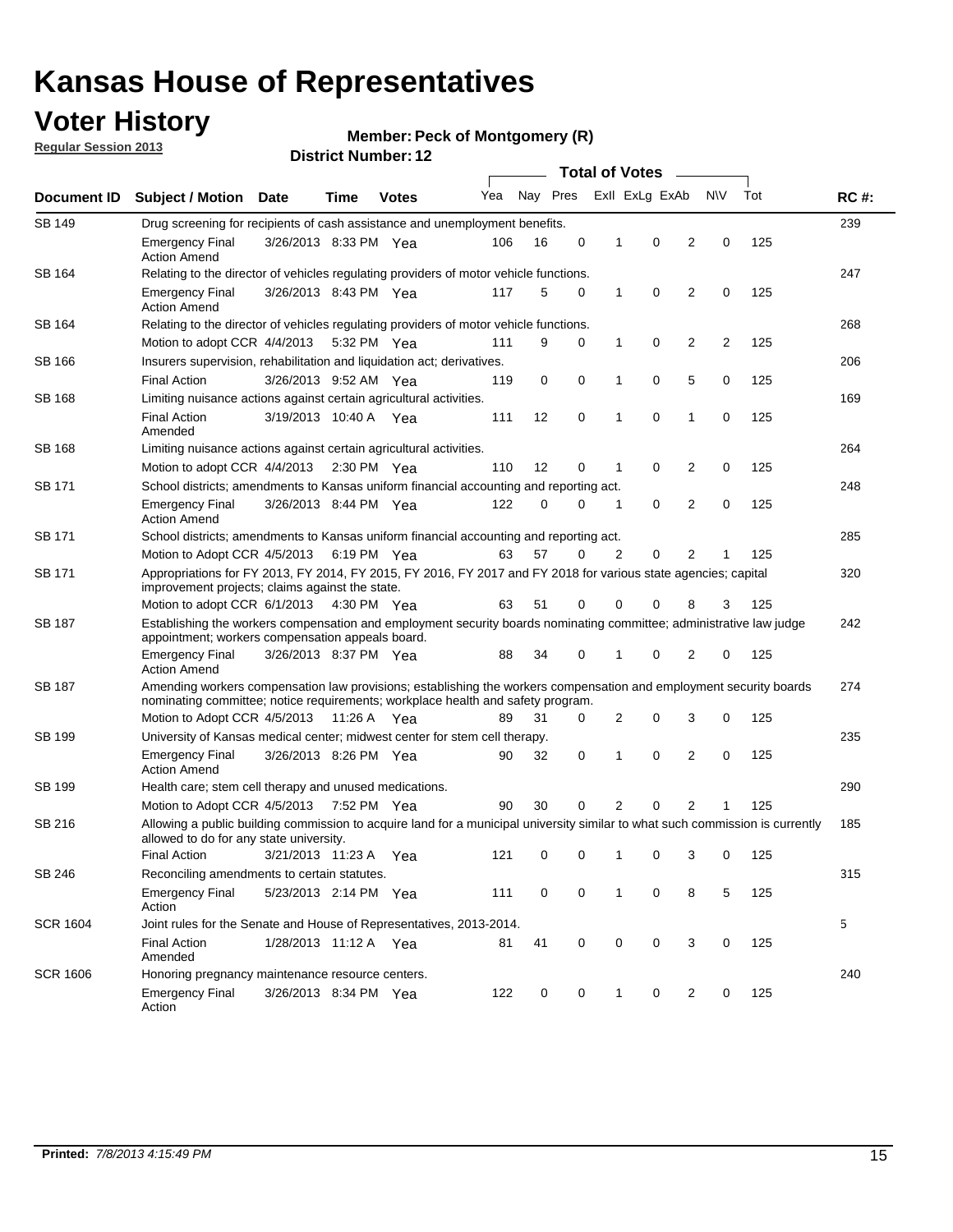## **Voter History**

**Member: Peck of Montgomery (R)** 

**Regular Session 2013**

|                 |                                                                                                                                                                                                       |                                                                                                                                                                         |             |              |     |          | <b>Total of Votes</b> |              |                |                |                |     |             |
|-----------------|-------------------------------------------------------------------------------------------------------------------------------------------------------------------------------------------------------|-------------------------------------------------------------------------------------------------------------------------------------------------------------------------|-------------|--------------|-----|----------|-----------------------|--------------|----------------|----------------|----------------|-----|-------------|
| Document ID     | Subject / Motion Date                                                                                                                                                                                 |                                                                                                                                                                         | Time        | <b>Votes</b> | Yea | Nay Pres |                       |              | Exll ExLg ExAb |                | <b>NV</b>      | Tot | <b>RC#:</b> |
| <b>SB 149</b>   | 239<br>Drug screening for recipients of cash assistance and unemployment benefits.                                                                                                                    |                                                                                                                                                                         |             |              |     |          |                       |              |                |                |                |     |             |
|                 | <b>Emergency Final</b><br><b>Action Amend</b>                                                                                                                                                         | 3/26/2013 8:33 PM Yea                                                                                                                                                   |             |              | 106 | 16       | 0                     | 1            | 0              | 2              | 0              | 125 |             |
| SB 164          | Relating to the director of vehicles regulating providers of motor vehicle functions.                                                                                                                 |                                                                                                                                                                         |             |              |     |          |                       |              |                |                |                |     | 247         |
|                 | <b>Emergency Final</b><br><b>Action Amend</b>                                                                                                                                                         | 3/26/2013 8:43 PM Yea                                                                                                                                                   |             |              | 117 | 5        | 0                     | $\mathbf{1}$ | 0              | 2              | 0              | 125 |             |
| SB 164          | Relating to the director of vehicles regulating providers of motor vehicle functions.                                                                                                                 |                                                                                                                                                                         |             |              |     |          |                       |              |                |                |                |     | 268         |
|                 | Motion to adopt CCR 4/4/2013                                                                                                                                                                          |                                                                                                                                                                         | 5:32 PM Yea |              | 111 | 9        | 0                     | $\mathbf{1}$ | 0              | 2              | $\overline{2}$ | 125 |             |
| SB 166          | Insurers supervision, rehabilitation and liquidation act; derivatives.                                                                                                                                |                                                                                                                                                                         |             |              |     |          |                       |              |                |                |                |     | 206         |
|                 | <b>Final Action</b>                                                                                                                                                                                   | 3/26/2013 9:52 AM Yea                                                                                                                                                   |             |              | 119 | 0        | 0                     | 1            | 0              | 5              | 0              | 125 |             |
| SB 168          | Limiting nuisance actions against certain agricultural activities.                                                                                                                                    |                                                                                                                                                                         |             |              |     |          |                       |              |                |                |                |     | 169         |
|                 | <b>Final Action</b><br>Amended                                                                                                                                                                        | 3/19/2013 10:40 A Yea                                                                                                                                                   |             |              | 111 | 12       | 0                     | 1            | 0              | 1              | 0              | 125 |             |
| SB 168          | Limiting nuisance actions against certain agricultural activities.                                                                                                                                    |                                                                                                                                                                         |             |              |     |          |                       |              |                |                |                |     | 264         |
|                 | Motion to adopt CCR 4/4/2013                                                                                                                                                                          |                                                                                                                                                                         |             | 2:30 PM Yea  | 110 | 12       | 0                     | 1            | 0              | 2              | 0              | 125 |             |
| SB 171          | School districts; amendments to Kansas uniform financial accounting and reporting act.                                                                                                                |                                                                                                                                                                         |             |              |     |          |                       |              |                |                |                |     | 248         |
|                 | <b>Emergency Final</b><br><b>Action Amend</b>                                                                                                                                                         | 3/26/2013 8:44 PM Yea                                                                                                                                                   |             |              | 122 | 0        | 0                     | 1            | 0              | 2              | 0              | 125 |             |
| SB 171          | School districts; amendments to Kansas uniform financial accounting and reporting act.                                                                                                                |                                                                                                                                                                         |             |              |     |          |                       |              |                |                |                |     | 285         |
|                 | Motion to Adopt CCR 4/5/2013 6:19 PM Yea                                                                                                                                                              |                                                                                                                                                                         |             |              | 63  | 57       | $\Omega$              | 2            | 0              | 2              |                | 125 |             |
| SB 171          | Appropriations for FY 2013, FY 2014, FY 2015, FY 2016, FY 2017 and FY 2018 for various state agencies; capital<br>improvement projects; claims against the state.                                     |                                                                                                                                                                         |             |              |     |          |                       |              |                |                |                |     | 320         |
|                 | Motion to adopt CCR 6/1/2013 4:30 PM Yea                                                                                                                                                              |                                                                                                                                                                         |             |              | 63  | 51       | 0                     | 0            | 0              | 8              | 3              | 125 |             |
| <b>SB 187</b>   |                                                                                                                                                                                                       | Establishing the workers compensation and employment security boards nominating committee; administrative law judge<br>appointment; workers compensation appeals board. |             |              |     |          |                       |              |                |                |                |     | 242         |
|                 | <b>Emergency Final</b><br><b>Action Amend</b>                                                                                                                                                         | 3/26/2013 8:37 PM Yea                                                                                                                                                   |             |              | 88  | 34       | 0                     |              | 0              | 2              | 0              | 125 |             |
| SB 187          | Amending workers compensation law provisions; establishing the workers compensation and employment security boards<br>nominating committee; notice requirements; workplace health and safety program. |                                                                                                                                                                         |             |              |     |          |                       |              |                |                |                |     | 274         |
|                 | Motion to Adopt CCR 4/5/2013 11:26 A Yea                                                                                                                                                              |                                                                                                                                                                         |             |              | 89  | 31       | 0                     | 2            | 0              | 3              | 0              | 125 |             |
| SB 199          | University of Kansas medical center; midwest center for stem cell therapy.                                                                                                                            |                                                                                                                                                                         |             |              |     |          |                       |              |                |                |                |     | 235         |
|                 | Emergency Final<br><b>Action Amend</b>                                                                                                                                                                | 3/26/2013 8:26 PM Yea                                                                                                                                                   |             |              | 90  | 32       | 0                     | 1            | 0              | 2              | 0              | 125 |             |
| SB 199          | Health care; stem cell therapy and unused medications.                                                                                                                                                |                                                                                                                                                                         |             |              |     |          |                       |              |                |                |                |     | 290         |
|                 | Motion to Adopt CCR 4/5/2013                                                                                                                                                                          |                                                                                                                                                                         | 7:52 PM Yea |              | 90  | 30       | 0                     | 2            | 0              | $\overline{2}$ |                | 125 |             |
| SB 216          | Allowing a public building commission to acquire land for a municipal university similar to what such commission is currently<br>allowed to do for any state university.                              |                                                                                                                                                                         |             |              |     |          |                       |              |                |                |                |     | 185         |
|                 | <b>Final Action</b>                                                                                                                                                                                   | 3/21/2013 11:23 A Yea                                                                                                                                                   |             |              | 121 | 0        | 0                     | 1            | 0              | 3              | 0              | 125 |             |
| SB 246          | Reconciling amendments to certain statutes.                                                                                                                                                           |                                                                                                                                                                         |             |              |     |          |                       |              |                |                |                |     | 315         |
|                 | <b>Emergency Final</b><br>Action                                                                                                                                                                      | 5/23/2013 2:14 PM Yea                                                                                                                                                   |             |              | 111 | 0        | 0                     | 1            | 0              | 8              | 5              | 125 |             |
| <b>SCR 1604</b> | Joint rules for the Senate and House of Representatives, 2013-2014.                                                                                                                                   |                                                                                                                                                                         |             |              |     |          |                       |              |                |                |                |     | 5           |
|                 | <b>Final Action</b><br>Amended                                                                                                                                                                        | 1/28/2013 11:12 A Yea                                                                                                                                                   |             |              | 81  | 41       | 0                     | 0            | 0              | 3              | 0              | 125 |             |
| <b>SCR 1606</b> | Honoring pregnancy maintenance resource centers.                                                                                                                                                      |                                                                                                                                                                         |             |              |     |          |                       |              |                |                |                | 240 |             |
|                 | <b>Emergency Final</b><br>Action                                                                                                                                                                      | 3/26/2013 8:34 PM Yea                                                                                                                                                   |             |              | 122 | 0        | 0                     | 1            | 0              | 2              | 0              | 125 |             |